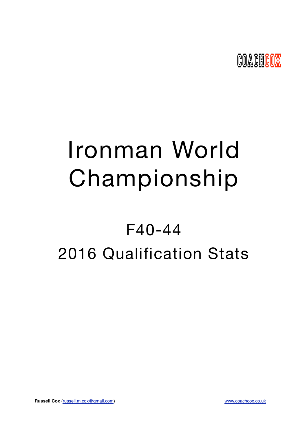

# Ironman World Championship

## F40-44 2016 Qualification Stats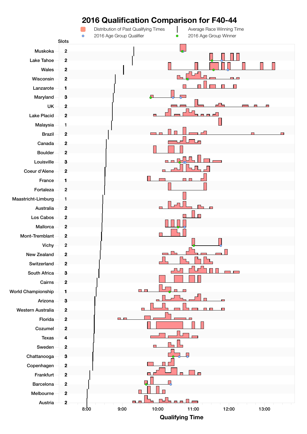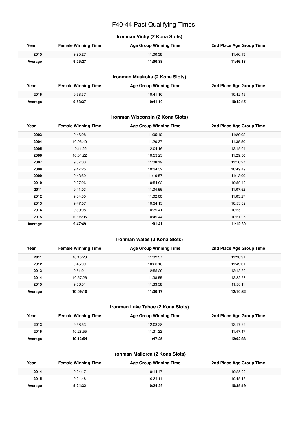## F40-44 Past Qualifying Times

## **Ironman Vichy (2 Kona Slots)**

| Year    | <b>Female Winning Time</b> | <b>Age Group Winning Time</b> | 2nd Place Age Group Time |
|---------|----------------------------|-------------------------------|--------------------------|
| 2015    | 9:25:27                    | 11:00:38                      | 11:46:13                 |
| Average | 9:25:27                    | 11:00:38                      | 11:46:13                 |

#### **Ironman Muskoka (2 Kona Slots)**

| Year    | <b>Female Winning Time</b> | <b>Age Group Winning Time</b> | 2nd Place Age Group Time |
|---------|----------------------------|-------------------------------|--------------------------|
| 2015    | 9:53:37                    | 10:41:10                      | 10:42:45                 |
| Average | 9:53:37                    | 10:41:10                      | 10:42:45                 |

#### **Ironman Wisconsin (2 Kona Slots)**

| Year    | <b>Female Winning Time</b> | <b>Age Group Winning Time</b> | 2nd Place Age Group Time |
|---------|----------------------------|-------------------------------|--------------------------|
| 2003    | 9:46:28                    | 11:05:10                      | 11:20:02                 |
| 2004    | 10:05:40                   | 11:20:27                      | 11:35:50                 |
| 2005    | 10:11:22                   | 12:04:16                      | 12:15:04                 |
| 2006    | 10:01:22                   | 10:53:23                      | 11:29:50                 |
| 2007    | 9:37:03                    | 11:08:19                      | 11:10:27                 |
| 2008    | 9:47:25                    | 10:34:52                      | 10:49:49                 |
| 2009    | 9:43:59                    | 11:10:57                      | 11:13:00                 |
| 2010    | 9:27:26                    | 10:54:02                      | 10:59:42                 |
| 2011    | 9:41:03                    | 11:04:56                      | 11:07:52                 |
| 2012    | 9:34:35                    | 11:02:00                      | 11:03:27                 |
| 2013    | 9:47:07                    | 10:34:13                      | 10:53:02                 |
| 2014    | 9:30:08                    | 10:39:41                      | 10:55:22                 |
| 2015    | 10:08:05                   | 10:49:44                      | 10:51:06                 |
| Average | 9:47:49                    | 11:01:41                      | 11:12:39                 |

#### **Ironman Wales (2 Kona Slots)**

| Year    | <b>Female Winning Time</b> | <b>Age Group Winning Time</b> | 2nd Place Age Group Time |
|---------|----------------------------|-------------------------------|--------------------------|
| 2011    | 10:15:23                   | 11:02:57                      | 11:28:31                 |
| 2012    | 9:45:09                    | 10:20:10                      | 11:49:31                 |
| 2013    | 9:51:21                    | 12:55:29                      | 13:13:30                 |
| 2014    | 10:57:26                   | 11:38:55                      | 12:22:58                 |
| 2015    | 9:56:31                    | 11:33:58                      | 11:58:11                 |
| Average | 10:09:10                   | 11:30:17                      | 12:10:32                 |

#### **Ironman Lake Tahoe (2 Kona Slots)**

| Year    | <b>Female Winning Time</b> | <b>Age Group Winning Time</b> | 2nd Place Age Group Time |
|---------|----------------------------|-------------------------------|--------------------------|
| 2013    | 9:58:53                    | 12:03:28                      | 12:17:29                 |
| 2015    | 10:28:55                   | 11:31:22                      | 11:47:47                 |
| Average | 10:13:54                   | 11:47:25                      | 12:02:38                 |

#### **Ironman Mallorca (2 Kona Slots)**

| Year    | <b>Female Winning Time</b> | <b>Age Group Winning Time</b> | 2nd Place Age Group Time |
|---------|----------------------------|-------------------------------|--------------------------|
| 2014    | 9:24:17                    | 10:14:47                      | 10:25:22                 |
| 2015    | 9:24:48                    | 10:34:11                      | 10:45:16                 |
| Average | 9:24:32                    | 10:24:29                      | 10:35:19                 |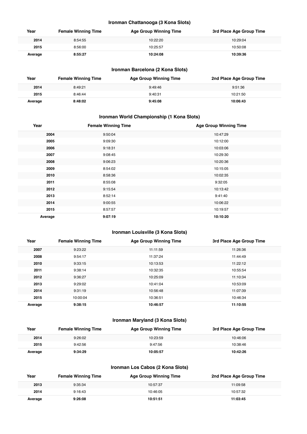#### **Ironman Chattanooga (3 Kona Slots)**

| Year    | <b>Female Winning Time</b> | <b>Age Group Winning Time</b> | 3rd Place Age Group Time |
|---------|----------------------------|-------------------------------|--------------------------|
| 2014    | 8:54:55                    | 10:22:20                      | 10:29:04                 |
| 2015    | 8:56:00                    | 10:25:57                      | 10:50:08                 |
| Average | 8:55:27                    | 10:24:08                      | 10:39:36                 |

## **Ironman Barcelona (2 Kona Slots)**

| Year    | <b>Female Winning Time</b> | <b>Age Group Winning Time</b> | 2nd Place Age Group Time |
|---------|----------------------------|-------------------------------|--------------------------|
| 2014    | 8:49:21                    | 9:49:46                       | 9:51:36                  |
| 2015    | 8:46:44                    | 9:40:31                       | 10:21:50                 |
| Average | 8:48:02                    | 9:45:08                       | 10:06:43                 |

## **Ironman World Championship (1 Kona Slots)**

| Year    | <b>Female Winning Time</b> | <b>Age Group Winning Time</b> |
|---------|----------------------------|-------------------------------|
| 2004    | 9:50:04                    | 10:47:29                      |
| 2005    | 9:09:30                    | 10:12:00                      |
| 2006    | 9:18:31                    | 10:03:06                      |
| 2007    | 9:08:45                    | 10:29:30                      |
| 2008    | 9:06:23                    | 10:20:36                      |
| 2009    | 8:54:02                    | 10:15:05                      |
| 2010    | 8:58:36                    | 10:02:35                      |
| 2011    | 8:55:08                    | 9:32:05                       |
| 2012    | 9:15:54                    | 10:13:42                      |
| 2013    | 8:52:14                    | 9:41:40                       |
| 2014    | 9:00:55                    | 10:06:22                      |
| 2015    | 8:57:57                    | 10:19:57                      |
| Average | 9:07:19                    | 10:10:20                      |

### **Ironman Louisville (3 Kona Slots)**

| Year    | <b>Female Winning Time</b> | <b>Age Group Winning Time</b> | 3rd Place Age Group Time |
|---------|----------------------------|-------------------------------|--------------------------|
| 2007    | 9:23:22                    | 11:11:59                      | 11:26:36                 |
| 2008    | 9:54:17                    | 11:37:24                      | 11:44:49                 |
| 2010    | 9:33:15                    | 10:13:53                      | 11:22:12                 |
| 2011    | 9:38:14                    | 10:32:35                      | 10:55:54                 |
| 2012    | 9:36:27                    | 10:25:09                      | 11:10:34                 |
| 2013    | 9:29:02                    | 10:41:04                      | 10:53:09                 |
| 2014    | 9:31:19                    | 10:56:48                      | 11:07:39                 |
| 2015    | 10:00:04                   | 10:36:51                      | 10:46:34                 |
| Average | 9:38:15                    | 10:46:57                      | 11:10:55                 |

## **Ironman Maryland (3 Kona Slots)**

| Year    | <b>Female Winning Time</b> | <b>Age Group Winning Time</b> | 3rd Place Age Group Time |
|---------|----------------------------|-------------------------------|--------------------------|
| 2014    | 9:26:02                    | 10:23:59                      | 10:46:06                 |
| 2015    | 9:42:56                    | 9:47:56                       | 10:38:46                 |
| Average | 9:34:29                    | 10:05:57                      | 10:42:26                 |

### **Ironman Los Cabos (2 Kona Slots)**

| Year    | <b>Female Winning Time</b> | Age Group Winning Time | 2nd Place Age Group Time |
|---------|----------------------------|------------------------|--------------------------|
| 2013    | 9:35:34                    | 10:57:37               | 11:09:58                 |
| 2014    | 9:16:43                    | 10:46:05               | 10:57:32                 |
| Average | 9:26:08                    | 10:51:51               | 11:03:45                 |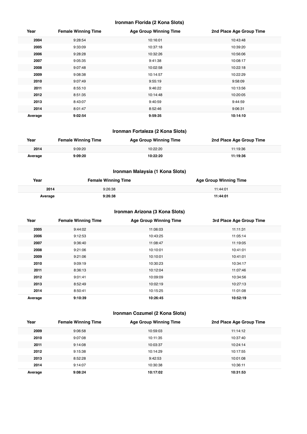#### **Ironman Florida (2 Kona Slots)**

| Year    | <b>Female Winning Time</b> | <b>Age Group Winning Time</b> | 2nd Place Age Group Time |
|---------|----------------------------|-------------------------------|--------------------------|
| 2004    | 9:28:54                    | 10:16:01                      | 10:43:48                 |
| 2005    | 9:33:09                    | 10:37:18                      | 10:39:20                 |
| 2006    | 9:28:28                    | 10:32:26                      | 10:56:06                 |
| 2007    | 9:05:35                    | 9:41:38                       | 10:08:17                 |
| 2008    | 9:07:48                    | 10:02:58                      | 10:22:18                 |
| 2009    | 9:08:38                    | 10:14:57                      | 10:22:29                 |
| 2010    | 9:07:49                    | 9:55:19                       | 9:58:09                  |
| 2011    | 8:55:10                    | 9:46:22                       | 10:13:56                 |
| 2012    | 8:51:35                    | 10:14:48                      | 10:20:05                 |
| 2013    | 8:43:07                    | 9:40:59                       | 9:44:59                  |
| 2014    | 8:01:47                    | 8:52:46                       | 9:06:31                  |
| Average | 9:02:54                    | 9:59:35                       | 10:14:10                 |

## **Ironman Fortaleza (2 Kona Slots)**

| Year    | <b>Female Winning Time</b> | Age Group Winning Time | 2nd Place Age Group Time |
|---------|----------------------------|------------------------|--------------------------|
| 2014    | 9:09:20                    | 10:22:20               | 11:19:36                 |
| Average | 9:09:20                    | 10:22:20               | 11:19:36                 |

## **Ironman Malaysia (1 Kona Slots)**

| Year    | <b>Female Winning Time</b> | <b>Age Group Winning Time</b> |
|---------|----------------------------|-------------------------------|
| 2014    | 9:26:38                    | 11:44:01                      |
| Average | 9:26:38                    | 11:44:01                      |

## **Ironman Arizona (3 Kona Slots)**

| Year    | <b>Female Winning Time</b> | <b>Age Group Winning Time</b> | 3rd Place Age Group Time |
|---------|----------------------------|-------------------------------|--------------------------|
| 2005    | 9:44:02                    | 11:06:03                      | 11:11:31                 |
| 2006    | 9:12:53                    | 10:43:25                      | 11:05:14                 |
| 2007    | 9:36:40                    | 11:08:47                      | 11:19:05                 |
| 2008    | 9:21:06                    | 10:10:01                      | 10:41:01                 |
| 2009    | 9:21:06                    | 10:10:01                      | 10:41:01                 |
| 2010    | 9:09:19                    | 10:30:23                      | 10:34:17                 |
| 2011    | 8:36:13                    | 10:12:04                      | 11:07:46                 |
| 2012    | 9:01:41                    | 10:09:09                      | 10:34:56                 |
| 2013    | 8:52:49                    | 10:02:19                      | 10:27:13                 |
| 2014    | 8:50:41                    | 10:15:25                      | 11:01:08                 |
| Average | 9:10:39                    | 10:26:45                      | 10:52:19                 |

## **Ironman Cozumel (2 Kona Slots)**

| Year    | <b>Female Winning Time</b> | <b>Age Group Winning Time</b> | 2nd Place Age Group Time |
|---------|----------------------------|-------------------------------|--------------------------|
| 2009    | 9:06:58                    | 10:59:03                      | 11:14:12                 |
| 2010    | 9:07:08                    | 10:11:35                      | 10:37:40                 |
| 2011    | 9:14:08                    | 10:03:37                      | 10:24:14                 |
| 2012    | 9:15:38                    | 10:14:29                      | 10:17:55                 |
| 2013    | 8:52:28                    | 9:42:53                       | 10:01:08                 |
| 2014    | 9:14:07                    | 10:30:38                      | 10:36:11                 |
| Average | 9:08:24                    | 10:17:02                      | 10:31:53                 |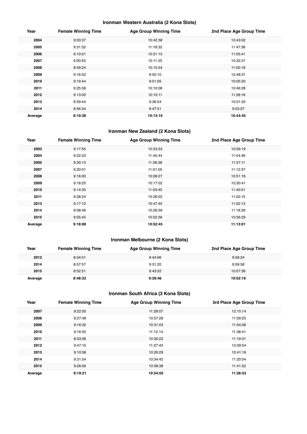## **Ironman Western Australia (2 Kona Slots)**

| Year    | <b>Female Winning Time</b> | <b>Age Group Winning Time</b> | 2nd Place Age Group Time |
|---------|----------------------------|-------------------------------|--------------------------|
| 2004    | 9:03:37                    | 10:42:38                      | 10:43:02                 |
| 2005    | 9:31:32                    | 11:18:32                      | 11:47:36                 |
| 2006    | 9:10:01                    | 10:31:15                      | 11:05:41                 |
| 2007    | 9:00:55                    | 10:11:25                      | 10:32:31                 |
| 2008    | 8:59:24                    | 10:15:54                      | 11:00:18                 |
| 2009    | 9:16:52                    | 9:50:10                       | 10:48:31                 |
| 2010    | 9:19:44                    | 9:51:05                       | 10:05:20                 |
| 2011    | 9:25:38                    | 10:10:08                      | 10:46:28                 |
| 2012    | 9:13:00                    | 10:10:11                      | 11:28:16                 |
| 2013    | 8:59:44                    | 9:36:54                       | 10:01:25                 |
| 2014    | 8:56:34                    | 9:47:51                       | 9:53:07                  |
| Average | 9:10:38                    | 10:13:16                      | 10:44:45                 |

#### **Ironman New Zealand (2 Kona Slots)**

| Year    | <b>Female Winning Time</b> | <b>Age Group Winning Time</b> | 2nd Place Age Group Time |
|---------|----------------------------|-------------------------------|--------------------------|
| 2003    | 9:17:55                    | 10:53:53                      | 10:56:19                 |
| 2004    | 9:22:23                    | 11:45:44                      | 11:54:46                 |
| 2005    | 9:30:13                    | 11:56:38                      | 11:57:11                 |
| 2007    | 9:20:01                    | 11:01:05                      | 11:12:37                 |
| 2008    | 9:16:00                    | 10:08:27                      | 10:51:16                 |
| 2009    | 9:18:25                    | 10:17:02                      | 10:30:41                 |
| 2010    | 9:14:35                    | 11:03:45                      | 11:40:51                 |
| 2011    | 9:28:24                    | 10:26:02                      | 11:02:15                 |
| 2013    | 9:17:10                    | 10:47:45                      | 11:02:13                 |
| 2014    | 9:08:46                    | 10:26:59                      | 11:18:39                 |
| 2015    | 9:05:45                    | 10:52:56                      | 10:56:29                 |
| Average | 9:18:08                    | 10:52:45                      | 11:13:01                 |

## **Ironman Melbourne (2 Kona Slots)**

| Year    | <b>Female Winning Time</b> | <b>Age Group Winning Time</b> | 2nd Place Age Group Time |
|---------|----------------------------|-------------------------------|--------------------------|
| 2012    | 8:34:51                    | 9:44:06                       | 9:59:24                  |
| 2014    | 8:57:57                    | 9:31:20                       | 9:59:58                  |
| 2015    | 8:52:51                    | 9:43:52                       | 10:07:36                 |
| Average | 8:48:33                    | 9:39:46                       | 10:02:19                 |

## **Ironman South Africa (3 Kona Slots)**

| Year    | <b>Female Winning Time</b> | <b>Age Group Winning Time</b> | 3rd Place Age Group Time |
|---------|----------------------------|-------------------------------|--------------------------|
| 2007    | 9:22:00                    | 11:28:07                      | 12:15:14                 |
| 2008    | 9:27:48                    | 10:57:28                      | 11:09:25                 |
| 2009    | 9:16:32                    | 10:31:03                      | 11:04:08                 |
| 2010    | 9:16:55                    | 11:12:14                      | 11:38:41                 |
| 2011    | 8:33:56                    | 10:30:22                      | 11:19:31                 |
| 2012    | 9:47:10                    | 11:27:43                      | 12:09:54                 |
| 2013    | 9:10:58                    | 10:26:29                      | 10:41:16                 |
| 2014    | 9:31:54                    | 10:34:42                      | 11:20:04                 |
| 2015    | 9:26:56                    | 10:58:38                      | 11:41:52                 |
| Average | 9:19:21                    | 10:54:05                      | 11:28:53                 |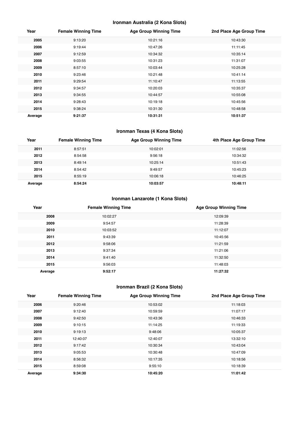## **Ironman Australia (2 Kona Slots)**

| Year    | <b>Female Winning Time</b> | <b>Age Group Winning Time</b> | 2nd Place Age Group Time |
|---------|----------------------------|-------------------------------|--------------------------|
| 2005    | 9:13:20                    | 10:21:16                      | 10:43:30                 |
| 2006    | 9:19:44                    | 10:47:26                      | 11:11:45                 |
| 2007    | 9:12:59                    | 10:34:32                      | 10:35:14                 |
| 2008    | 9:03:55                    | 10:31:23                      | 11:31:07                 |
| 2009    | 8:57:10                    | 10:03:44                      | 10:25:28                 |
| 2010    | 9:23:46                    | 10:21:48                      | 10:41:14                 |
| 2011    | 9:29:54                    | 11:10:47                      | 11:13:55                 |
| 2012    | 9:34:57                    | 10:20:03                      | 10:35:37                 |
| 2013    | 9:34:55                    | 10:44:57                      | 10:55:08                 |
| 2014    | 9:28:43                    | 10:19:18                      | 10:45:56                 |
| 2015    | 9:38:24                    | 10:31:30                      | 10:48:58                 |
| Average | 9:21:37                    | 10:31:31                      | 10:51:37                 |

## **Ironman Texas (4 Kona Slots)**

| Year    | <b>Female Winning Time</b> | <b>Age Group Winning Time</b> | 4th Place Age Group Time |
|---------|----------------------------|-------------------------------|--------------------------|
| 2011    | 8:57:51                    | 10:02:01                      | 11:02:56                 |
| 2012    | 8:54:58                    | 9:56:18                       | 10:34:32                 |
| 2013    | 8:49:14                    | 10:25:14                      | 10:51:43                 |
| 2014    | 8:54:42                    | 9:49:57                       | 10:45:23                 |
| 2015    | 8:55:19                    | 10:06:18                      | 10:46:25                 |
| Average | 8:54:24                    | 10:03:57                      | 10:48:11                 |

## **Ironman Lanzarote (1 Kona Slots)**

| Year    | <b>Female Winning Time</b> | <b>Age Group Winning Time</b> |
|---------|----------------------------|-------------------------------|
| 2008    | 10:02:27                   | 12:09:39                      |
| 2009    | 9:54:57                    | 11:28:39                      |
| 2010    | 10:03:52                   | 11:12:07                      |
| 2011    | 9:43:39                    | 10:45:56                      |
| 2012    | 9:58:06                    | 11:21:59                      |
| 2013    | 9:37:34                    | 11:21:06                      |
| 2014    | 9:41:40                    | 11:32:50                      |
| 2015    | 9:56:03                    | 11:48:03                      |
| Average | 9:52:17                    | 11:27:32                      |

## **Ironman Brazil (2 Kona Slots)**

| Year    | <b>Female Winning Time</b> | <b>Age Group Winning Time</b> | 2nd Place Age Group Time |
|---------|----------------------------|-------------------------------|--------------------------|
| 2006    | 9:20:46                    | 10:53:02                      | 11:18:03                 |
| 2007    | 9:12:40                    | 10:59:59                      | 11:07:17                 |
| 2008    | 9:42:50                    | 10:43:36                      | 10:46:33                 |
| 2009    | 9:10:15                    | 11:14:25                      | 11:19:33                 |
| 2010    | 9:19:13                    | 9:48:06                       | 10:05:37                 |
| 2011    | 12:40:07                   | 12:40:07                      | 13:32:10                 |
| 2012    | 9:17:42                    | 10:30:34                      | 10:43:04                 |
| 2013    | 9:05:53                    | 10:30:48                      | 10:47:09                 |
| 2014    | 8:56:32                    | 10:17:35                      | 10:18:56                 |
| 2015    | 8:59:08                    | 9:55:10                       | 10:18:39                 |
| Average | 9:34:30                    | 10:45:20                      | 11:01:42                 |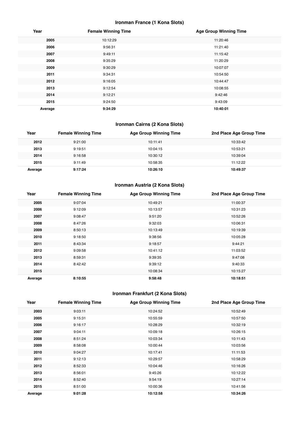## **Ironman France (1 Kona Slots)**

| Year    | <b>Female Winning Time</b> | <b>Age Group Winning Time</b> |
|---------|----------------------------|-------------------------------|
| 2005    | 10:12:29                   | 11:20:46                      |
| 2006    | 9:56:31                    | 11:21:40                      |
| 2007    | 9:49:11                    | 11:15:42                      |
| 2008    | 9:35:29                    | 11:20:29                      |
| 2009    | 9:30:29                    | 10:07:07                      |
| 2011    | 9:34:31                    | 10:54:50                      |
| 2012    | 9:16:05                    | 10:44:47                      |
| 2013    | 9:12:54                    | 10:08:55                      |
| 2014    | 9:12:21                    | 9:42:46                       |
| 2015    | 9:24:50                    | 9:43:09                       |
| Average | 9:34:29                    | 10:40:01                      |

## **Ironman Cairns (2 Kona Slots)**

| Year    | <b>Female Winning Time</b> | <b>Age Group Winning Time</b> | 2nd Place Age Group Time |
|---------|----------------------------|-------------------------------|--------------------------|
| 2012    | 9:21:00                    | 10:11:41                      | 10:33:42                 |
| 2013    | 9:19:51                    | 10:04:15                      | 10:53:21                 |
| 2014    | 9:16:58                    | 10:30:12                      | 10:39:04                 |
| 2015    | 9:11:49                    | 10:58:35                      | 11:12:22                 |
| Average | 9:17:24                    | 10:26:10                      | 10:49:37                 |

## **Ironman Austria (2 Kona Slots)**

| Year    | <b>Female Winning Time</b> | <b>Age Group Winning Time</b> | 2nd Place Age Group Time |
|---------|----------------------------|-------------------------------|--------------------------|
| 2005    | 9:07:04                    | 10:49:21                      | 11:00:37                 |
| 2006    | 9:12:09                    | 10:13:57                      | 10:31:23                 |
| 2007    | 9:08:47                    | 9:51:20                       | 10:52:26                 |
| 2008    | 8:47:26                    | 9:32:03                       | 10:06:31                 |
| 2009    | 8:50:13                    | 10:13:49                      | 10:19:39                 |
| 2010    | 9:18:50                    | 9:38:56                       | 10:05:28                 |
| 2011    | 8:43:34                    | 9:18:57                       | 9:44:21                  |
| 2012    | 9:09:58                    | 10:41:12                      | 11:03:52                 |
| 2013    | 8:59:31                    | 9:39:35                       | 9:47:08                  |
| 2014    | 8:42:42                    | 9:39:12                       | 9:40:33                  |
| 2015    |                            | 10:08:34                      | 10:15:27                 |
| Average | 8:10:55                    | 9:58:48                       | 10:18:51                 |

## **Ironman Frankfurt (2 Kona Slots)**

| Year    | <b>Female Winning Time</b> | <b>Age Group Winning Time</b> | 2nd Place Age Group Time |
|---------|----------------------------|-------------------------------|--------------------------|
| 2003    | 9:03:11                    | 10:24:52                      | 10:52:49                 |
| 2005    | 9:15:31                    | 10:55:59                      | 10:57:50                 |
| 2006    | 9:16:17                    | 10:28:29                      | 10:32:19                 |
| 2007    | 9:04:11                    | 10:09:18                      | 10:26:15                 |
| 2008    | 8:51:24                    | 10:03:34                      | 10:11:43                 |
| 2009    | 8:58:08                    | 10:00:44                      | 10:03:56                 |
| 2010    | 9:04:27                    | 10:17:41                      | 11:11:53                 |
| 2011    | 9:12:13                    | 10:29:57                      | 10:58:29                 |
| 2012    | 8:52:33                    | 10:04:46                      | 10:16:26                 |
| 2013    | 8:56:01                    | 9:45:26                       | 10:12:22                 |
| 2014    | 8:52:40                    | 9:54:19                       | 10:27:14                 |
| 2015    | 8:51:00                    | 10:00:36                      | 10:41:56                 |
| Average | 9:01:28                    | 10:12:58                      | 10:34:26                 |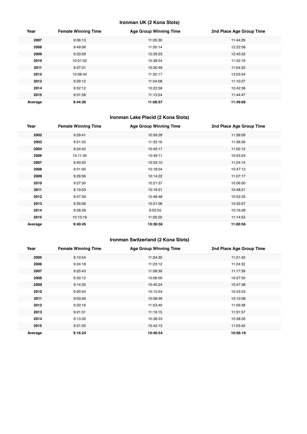## **Ironman UK (2 Kona Slots)**

| Year    | <b>Female Winning Time</b> | <b>Age Group Winning Time</b> | 2nd Place Age Group Time |
|---------|----------------------------|-------------------------------|--------------------------|
| 2007    | 9:36:13                    | 11:05:30                      | 11:44:29                 |
| 2008    | 9:49:06                    | 11:05:14                      | 12:22:58                 |
| 2009    | 9:33:59                    | 12:29:23                      | 12:45:52                 |
| 2010    | 10:01:02                   | 10:38:54                      | 11:42:19                 |
| 2011    | 9:37:31                    | 10:30:49                      | 11:04:32                 |
| 2012    | 10:08:44                   | 11:50:17                      | 13:03:54                 |
| 2013    | 9:29:12                    | 11:04:08                      | 11:10:27                 |
| 2014    | 9:52:12                    | 10:22:58                      | 10:42:36                 |
| 2015    | 9:31:58                    | 11:13:24                      | 11:44:47                 |
| Average | 9:44:26                    | 11:08:57                      | 11:49:06                 |

## **Ironman Lake Placid (2 Kona Slots)**

| Year    | <b>Female Winning Time</b> | <b>Age Group Winning Time</b> | 2nd Place Age Group Time |
|---------|----------------------------|-------------------------------|--------------------------|
| 2002    | 9:29:41                    | 10:59:28                      | 11:38:09                 |
| 2003    | 9:51:55                    | 11:33:16                      | 11:38:39                 |
| 2004    | 9:24:42                    | 10:45:17                      | 11:02:12                 |
| 2006    | 10:11:35                   | 10:49:11                      | 10:53:24                 |
| 2007    | 9:40:20                    | 10:33:10                      | 11:24:14                 |
| 2008    | 9:51:00                    | 10:18:04                      | 10:47:12                 |
| 2009    | 9:29:36                    | 10:14:22                      | 11:07:17                 |
| 2010    | 9:27:30                    | 10:21:57                      | 10:56:50                 |
| 2011    | 9:19:03                    | 10:19:21                      | 10:48:21                 |
| 2012    | 9:47:39                    | 10:48:48                      | 10:52:25                 |
| 2013    | 9:35:06                    | 10:21:06                      | 10:32:07                 |
| 2014    | 9:28:28                    | 9:55:55                       | 10:16:28                 |
| 2015    | 10:13:19                   | 11:00:20                      | 11:14:53                 |
| Average | 9:40:45                    | 10:36:56                      | 11:00:56                 |

## **Ironman Switzerland (2 Kona Slots)**

| Year    | <b>Female Winning Time</b> | <b>Age Group Winning Time</b> | 2nd Place Age Group Time |
|---------|----------------------------|-------------------------------|--------------------------|
| 2005    | 9:10:54                    | 11:04:30                      | 11:21:42                 |
| 2006    | 9:24:18                    | 11:23:12                      | 11:24:32                 |
| 2007    | 9:20:43                    | 11:08:39                      | 11:17:39                 |
| 2008    | 9:30:12                    | 10:06:00                      | 10:07:55                 |
| 2009    | 9:14:35                    | 10:45:24                      | 10:47:38                 |
| 2010    | 9:00:04                    | 10:15:54                      | 10:43:53                 |
| 2011    | 9:03:26                    | 10:08:46                      | 10:12:08                 |
| 2012    | 9:20:16                    | 11:03:49                      | 11:09:38                 |
| 2013    | 9:21:31                    | 11:19:15                      | 11:31:57                 |
| 2014    | 9:13:30                    | 10:38:23                      | 10:38:35                 |
| 2015    | 9:21:05                    | 10:42:12                      | 11:03:42                 |
| Average | 9:16:24                    | 10:46:54                      | 10:56:18                 |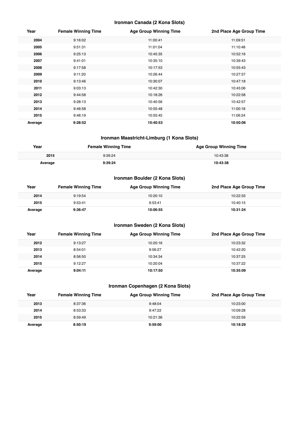#### **Ironman Canada (2 Kona Slots)**

| Year    | <b>Female Winning Time</b> | <b>Age Group Winning Time</b> | 2nd Place Age Group Time |
|---------|----------------------------|-------------------------------|--------------------------|
| 2004    | 9:16:02                    | 11:00:41                      | 11:09:51                 |
| 2005    | 9:51:31                    | 11:01:04                      | 11:10:48                 |
| 2006    | 9:25:13                    | 10:45:35                      | 10:52:16                 |
| 2007    | 9:41:01                    | 10:35:10                      | 10:39:43                 |
| 2008    | 9:17:58                    | 10:17:53                      | 10:55:43                 |
| 2009    | 9:11:20                    | 10:26:44                      | 10:27:57                 |
| 2010    | 9:13:46                    | 10:30:07                      | 10:47:18                 |
| 2011    | 9:03:13                    | 10:42:30                      | 10:45:06                 |
| 2012    | 9:44:58                    | 10:18:26                      | 10:22:58                 |
| 2013    | 9:28:13                    | 10:40:56                      | 10:42:57                 |
| 2014    | 9:46:58                    | 10:55:48                      | 11:00:18                 |
| 2015    | 9:46:19                    | 10:55:45                      | 11:06:24                 |
| Average | 9:28:52                    | 10:40:53                      | 10:50:06                 |

#### **Ironman Maastricht-Limburg (1 Kona Slots)**

| Year    | <b>Female Winning Time</b> | <b>Age Group Winning Time</b> |
|---------|----------------------------|-------------------------------|
| 2015    | 9:39:24                    | 10:43:38                      |
| Average | 9-39-24                    | 10:43:38                      |

## **Ironman Boulder (2 Kona Slots)**

| Year    | <b>Female Winning Time</b> | Age Group Winning Time | 2nd Place Age Group Time |
|---------|----------------------------|------------------------|--------------------------|
| 2014    | 9:19:54                    | 10:20:10               | 10:22:33                 |
| 2015    | 9:53:41                    | 9:53:41                | 10:40:15                 |
| Average | 9:36:47                    | 10:06:55               | 10:31:24                 |

## **Ironman Sweden (2 Kona Slots)**

| Year    | <b>Female Winning Time</b> | Age Group Winning Time | 2nd Place Age Group Time |
|---------|----------------------------|------------------------|--------------------------|
| 2012    | 9:13:27                    | 10:20:16               | 10:23:32                 |
| 2013    | 8:54:01                    | 9:56:27                | 10:42:20                 |
| 2014    | 8:56:50                    | 10:34:34               | 10:37:25                 |
| 2015    | 9:12:27                    | 10:20:04               | 10:37:22                 |
| Average | 9:04:11                    | 10:17:50               | 10:35:09                 |

## **Ironman Copenhagen (2 Kona Slots)**

| Year    | <b>Female Winning Time</b> | <b>Age Group Winning Time</b> | 2nd Place Age Group Time |
|---------|----------------------------|-------------------------------|--------------------------|
| 2013    | 8:37:36                    | 9:48:04                       | 10:23:00                 |
| 2014    | 8:53:33                    | 9:47:22                       | 10:09:28                 |
| 2015    | 8:59:49                    | 10:21:36                      | 10:22:59                 |
| Average | 8:50:19                    | 9:59:00                       | 10:18:29                 |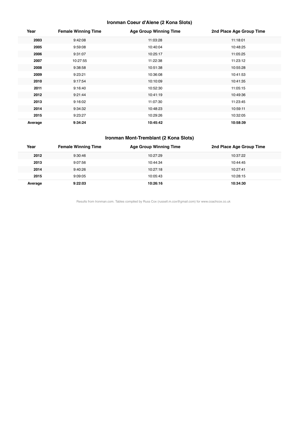## **Ironman Coeur d'Alene (2 Kona Slots)**

| Year    | <b>Female Winning Time</b> | <b>Age Group Winning Time</b> | 2nd Place Age Group Time |
|---------|----------------------------|-------------------------------|--------------------------|
| 2003    | 9:42:08                    | 11:03:28                      | 11:18:01                 |
| 2005    | 9:59:08                    | 10:40:04                      | 10:48:25                 |
| 2006    | 9:31:07                    | 10:25:17                      | 11:05:25                 |
| 2007    | 10:27:55                   | 11:22:38                      | 11:23:12                 |
| 2008    | 9:38:58                    | 10:51:38                      | 10:55:28                 |
| 2009    | 9:23:21                    | 10:36:08                      | 10:41:53                 |
| 2010    | 9:17:54                    | 10:10:09                      | 10:41:35                 |
| 2011    | 9:16:40                    | 10:52:30                      | 11:05:15                 |
| 2012    | 9:21:44                    | 10:41:19                      | 10:49:36                 |
| 2013    | 9:16:02                    | 11:07:30                      | 11:23:45                 |
| 2014    | 9:34:32                    | 10:48:23                      | 10:59:11                 |
| 2015    | 9:23:27                    | 10:29:26                      | 10:32:05                 |
| Average | 9:34:24                    | 10:45:42                      | 10:58:39                 |

#### **Ironman Mont-Tremblant (2 Kona Slots)**

| Year    | <b>Female Winning Time</b> | <b>Age Group Winning Time</b> | 2nd Place Age Group Time |
|---------|----------------------------|-------------------------------|--------------------------|
| 2012    | 9:30:46                    | 10:27:29                      | 10:37:22                 |
| 2013    | 9:07:56                    | 10:44:34                      | 10:44:45                 |
| 2014    | 9:40:26                    | 10:27:18                      | 10:27:41                 |
| 2015    | 9:09:05                    | 10:05:43                      | 10:28:15                 |
| Average | 9:22:03                    | 10:26:16                      | 10:34:30                 |

Results from Ironman.com. Tables compiled by Russ Cox (russell.m.cox@gmail.com) for www.coachcox.co.uk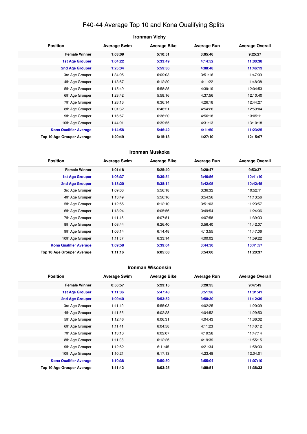## F40-44 Average Top 10 and Kona Qualifying Splits

| <b>Ironman Vichy</b> |  |
|----------------------|--|
|----------------------|--|

| <b>Position</b>               | <b>Average Swim</b> | <b>Average Bike</b> | <b>Average Run</b> | <b>Average Overall</b> |
|-------------------------------|---------------------|---------------------|--------------------|------------------------|
| <b>Female Winner</b>          | 1:03:09             | 5:10:51             | 3:05:46            | 9:25:27                |
| <b>1st Age Grouper</b>        | 1:04:22             | 5:33:49             | 4:14:52            | 11:00:38               |
| 2nd Age Grouper               | 1:25:34             | 5:59:36             | 4:08:48            | 11:46:13               |
| 3rd Age Grouper               | 1:34:05             | 6:09:03             | 3:51:16            | 11:47:09               |
| 4th Age Grouper               | 1:13:57             | 6:12:20             | 4:11:22            | 11:48:38               |
| 5th Age Grouper               | 1:15:49             | 5:58:25             | 4:39:19            | 12:04:53               |
| 6th Age Grouper               | 1:23:42             | 5:58:16             | 4:37:56            | 12:10:40               |
| 7th Age Grouper               | 1:28:13             | 6:36:14             | 4:26:18            | 12:44:27               |
| 8th Age Grouper               | 1:01:32             | 6:48:21             | 4:54:26            | 12:53:04               |
| 9th Age Grouper               | 1:16:57             | 6:36:20             | 4:56:18            | 13:05:11               |
| 10th Age Grouper              | 1:44:01             | 6:39:55             | 4:31:13            | 13:10:18               |
| <b>Kona Qualifier Average</b> | 1:14:58             | 5:46:42             | 4:11:50            | 11:23:25               |
| Top 10 Age Grouper Average    | 1:20:49             | 6:15:13             | 4:27:10            | 12:15:07               |

#### **Ironman Muskoka**

| <b>Position</b>                   | <b>Average Swim</b> | <b>Average Bike</b> | <b>Average Run</b> | <b>Average Overall</b> |
|-----------------------------------|---------------------|---------------------|--------------------|------------------------|
| <b>Female Winner</b>              | 1:01:18             | 5:25:40             | 3:20:47            | 9:53:37                |
| <b>1st Age Grouper</b>            | 1:06:37             | 5:39:54             | 3:46:56            | 10:41:10               |
| <b>2nd Age Grouper</b>            | 1:13:20             | 5:38:14             | 3:42:05            | 10:42:45               |
| 3rd Age Grouper                   | 1:09:03             | 5:56:18             | 3:36:32            | 10:52:11               |
| 4th Age Grouper                   | 1:13:49             | 5:56:16             | 3:54:56            | 11:13:56               |
| 5th Age Grouper                   | 1:12:55             | 6:12:10             | 3:51:03            | 11:23:57               |
| 6th Age Grouper                   | 1:18:24             | 6:05:56             | 3:49:54            | 11:24:06               |
| 7th Age Grouper                   | 1:11:46             | 6:07:51             | 4:07:58            | 11:39:33               |
| 8th Age Grouper                   | 1:08:44             | 6:26:40             | 3:56:40            | 11:42:07               |
| 9th Age Grouper                   | 1:06:14             | 6:14:48             | 4:13:55            | 11:47:06               |
| 10th Age Grouper                  | 1:11:57             | 6:33:14             | 4:00:02            | 11:59:22               |
| <b>Kona Qualifier Average</b>     | 1:09:58             | 5:39:04             | 3:44:30            | 10:41:57               |
| <b>Top 10 Age Grouper Average</b> | 1:11:16             | 6:05:08             | 3:54:00            | 11:20:37               |

#### **Ironman Wisconsin**

| <b>Position</b>               | <b>Average Swim</b> | <b>Average Bike</b> | <b>Average Run</b> | <b>Average Overall</b> |
|-------------------------------|---------------------|---------------------|--------------------|------------------------|
| <b>Female Winner</b>          | 0:56:57             | 5:23:15             | 3:20:35            | 9:47:49                |
| <b>1st Age Grouper</b>        | 1:11:36             | 5:47:48             | 3:51:38            | 11:01:41               |
| 2nd Age Grouper               | 1:09:40             | 5:53:52             | 3:58:30            | 11:12:39               |
| 3rd Age Grouper               | 1:11:49             | 5:55:03             | 4:02:25            | 11:20:09               |
| 4th Age Grouper               | 1:11:55             | 6:02:28             | 4:04:52            | 11:29:50               |
| 5th Age Grouper               | 1:12:46             | 6:06:31             | 4:04:43            | 11:36:02               |
| 6th Age Grouper               | 1:11:41             | 6:04:58             | 4:11:23            | 11:40:12               |
| 7th Age Grouper               | 1:13:13             | 6:02:07             | 4:19:58            | 11:47:14               |
| 8th Age Grouper               | 1:11:08             | 6:12:26             | 4:19:39            | 11:55:15               |
| 9th Age Grouper               | 1:12:52             | 6:11:45             | 4:21:34            | 11:58:30               |
| 10th Age Grouper              | 1:10:21             | 6:17:13             | 4:23:48            | 12:04:01               |
| <b>Kona Qualifier Average</b> | 1:10:38             | 5:50:50             | 3:55:04            | 11:07:10               |
| Top 10 Age Grouper Average    | 1:11:42             | 6:03:25             | 4:09:51            | 11:36:33               |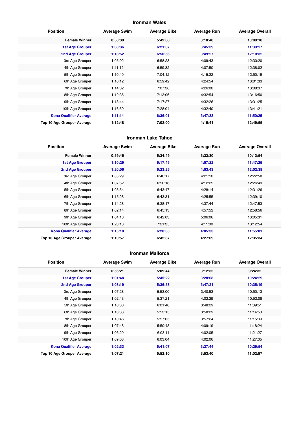#### **Ironman Wales**

| <b>Position</b>               | <b>Average Swim</b> | <b>Average Bike</b> | <b>Average Run</b> | <b>Average Overall</b> |
|-------------------------------|---------------------|---------------------|--------------------|------------------------|
| <b>Female Winner</b>          | 0:58:39             | 5:42:08             | 3:18:40            | 10:09:10               |
| <b>1st Age Grouper</b>        | 1:08:36             | 6:21:07             | 3:45:39            | 11:30:17               |
| 2nd Age Grouper               | 1:13:52             | 6:50:56             | 3:49:27            | 12:10:32               |
| 3rd Age Grouper               | 1:05:02             | 6:58:23             | 4:09:43            | 12:30:20               |
| 4th Age Grouper               | 1:11:12             | 6:59:32             | 4:07:50            | 12:38:02               |
| 5th Age Grouper               | 1:10:49             | 7:04:12             | 4:15:22            | 12:50:19               |
| 6th Age Grouper               | 1:16:12             | 6:59:42             | 4:24:54            | 13:01:33               |
| 7th Age Grouper               | 1:14:02             | 7:07:36             | 4:26:00            | 13:08:37               |
| 8th Age Grouper               | 1:12:35             | 7:13:06             | 4:32:54            | 13:16:50               |
| 9th Age Grouper               | 1:18:44             | 7:17:27             | 4:32:26            | 13:31:25               |
| 10th Age Grouper              | 1:16:59             | 7:28:04             | 4:32:40            | 13:41:21               |
| <b>Kona Qualifier Average</b> | 1:11:14             | 6:36:01             | 3:47:33            | 11:50:25               |
| Top 10 Age Grouper Average    | 1:12:48             | 7:02:00             | 4:15:41            | 12:49:55               |

#### **Ironman Lake Tahoe**

| <b>Position</b>               | <b>Average Swim</b> | <b>Average Bike</b> | <b>Average Run</b> | <b>Average Overall</b> |
|-------------------------------|---------------------|---------------------|--------------------|------------------------|
| <b>Female Winner</b>          | 0:59:46             | 5:34:49             | 3:33:30            | 10:13:54               |
| <b>1st Age Grouper</b>        | 1:10:29             | 6:17:45             | 4:07:22            | 11:47:25               |
| 2nd Age Grouper               | 1:20:06             | 6:23:25             | 4:03:43            | 12:02:38               |
| 3rd Age Grouper               | 1:05:29             | 6:40:17             | 4:21:10            | 12:22:58               |
| 4th Age Grouper               | 1:07:52             | 6:50:16             | 4:12:25            | 12:26:49               |
| 5th Age Grouper               | 1:05:54             | 6:43:47             | 4:28:14            | 12:31:26               |
| 6th Age Grouper               | 1:15:28             | 6:43:31             | 4:25:55            | 12:39:10               |
| 7th Age Grouper               | 1:14:28             | 6:38:17             | 4:37:44            | 12:47:53               |
| 8th Age Grouper               | 1:02:14             | 6:45:13             | 4:57:52            | 12:58:56               |
| 9th Age Grouper               | 1:04:10             | 6:42:03             | 5:06:06            | 13:05:31               |
| 10th Age Grouper              | 1:23:18             | 7:21:35             | 4:11:00            | 13:12:54               |
| <b>Kona Qualifier Average</b> | 1:15:18             | 6:20:35             | 4:05:33            | 11:55:01               |
| Top 10 Age Grouper Average    | 1:10:57             | 6:42:37             | 4:27:09            | 12:35:34               |

#### **Ironman Mallorca**

| <b>Position</b>               | <b>Average Swim</b> | <b>Average Bike</b> | <b>Average Run</b> | <b>Average Overall</b> |
|-------------------------------|---------------------|---------------------|--------------------|------------------------|
| <b>Female Winner</b>          | 0:56:21             | 5:09:44             | 3:12:35            | 9:24:32                |
| 1st Age Grouper               | 1:01:48             | 5:45:22             | 3:28:08            | 10:24:29               |
| 2nd Age Grouper               | 1:03:19             | 5:36:53             | 3:47:21            | 10:35:19               |
| 3rd Age Grouper               | 1:07:28             | 5:53:00             | 3:40:53            | 10:50:13               |
| 4th Age Grouper               | 1:02:43             | 5:37:21             | 4:02:29            | 10:52:08               |
| 5th Age Grouper               | 1:10:30             | 6:01:40             | 3:48:29            | 11:09:51               |
| 6th Age Grouper               | 1:13:38             | 5:53:15             | 3:58:29            | 11:14:53               |
| 7th Age Grouper               | 1:10:46             | 5:57:05             | 3:57:24            | 11:15:39               |
| 8th Age Grouper               | 1:07:48             | 5:50:48             | 4:09:19            | 11:18:24               |
| 9th Age Grouper               | 1:06:29             | 6:03:11             | 4:02:05            | 11:21:27               |
| 10th Age Grouper              | 1:09:08             | 6:03:04             | 4:02:06            | 11:27:05               |
| <b>Kona Qualifier Average</b> | 1:02:33             | 5:41:07             | 3:37:44            | 10:29:54               |
| Top 10 Age Grouper Average    | 1:07:21             | 5:52:10             | 3:53:40            | 11:02:57               |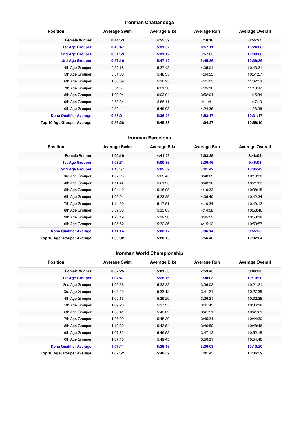## **Ironman Chattanooga**

| <b>Position</b>               | <b>Average Swim</b> | <b>Average Bike</b> | <b>Average Run</b> | <b>Average Overall</b> |
|-------------------------------|---------------------|---------------------|--------------------|------------------------|
| <b>Female Winner</b>          | 0:44:53             | 4:55:39             | 3:10:10            | 8:55:27                |
| <b>1st Age Grouper</b>        | 0:49:47             | 5:31:02             | 3:57:11            | 10:24:08               |
| 2nd Age Grouper               | 0:51:59             | 5:31:12             | 3:57:05            | 10:30:08               |
| 3rd Age Grouper               | 0:57:16             | 5:47:12             | 3:45:36            | 10:39:36               |
| 4th Age Grouper               | 0:52:18             | 5:37:42             | 4:05:01            | 10:43:31               |
| 5th Age Grouper               | 0:51:00             | 5:48:35             | 4:04:55            | 10:51:57               |
| 6th Age Grouper               | 1:00:09             | 5:30:25             | 4:21:03            | 11:02:14               |
| 7th Age Grouper               | 0:54:57             | 6:01:58             | 4:05:16            | 11:13:42               |
| 8th Age Grouper               | 1:09:04             | 6:03:04             | 3:52:04            | 11:15:34               |
| 9th Age Grouper               | 0:58:34             | 5:56:11             | 4:11:41            | 11:17:19               |
| 10th Age Grouper              | 0:59:41             | 5:49:02             | 4:24:36            | 11:23:36               |
| <b>Kona Qualifier Average</b> | 0:53:01             | 5:36:29             | 3:53:17            | 10:31:17               |
| Top 10 Age Grouper Average    | 0:56:28             | 5:45:38             | 4:04:27            | 10:56:10               |

#### **Ironman Barcelona**

| <b>Position</b>               | <b>Average Swim</b> | <b>Average Bike</b> | <b>Average Run</b> | <b>Average Overall</b> |
|-------------------------------|---------------------|---------------------|--------------------|------------------------|
| <b>Female Winner</b>          | 1:00:19             | 4:41:29             | 3:03:25            | 8:48:02                |
| <b>1st Age Grouper</b>        | 1:08:31             | 5:00:36             | 3:30:46            | 9:45:08                |
| 2nd Age Grouper               | 1:13:57             | 5:05:59             | 3:41:42            | 10:06:43               |
| 3rd Age Grouper               | 1:07:23             | 5:09:45             | 3:48:05            | 10:10:30               |
| 4th Age Grouper               | 1:11:44             | 5:21:25             | 3:43:16            | 10:21:03               |
| 5th Age Grouper               | 1:04:40             | 5:18:08             | 4:10:33            | 10:38:15               |
| 6th Age Grouper               | 1:05:01             | 5:23:25             | 4:06:40            | 10:42:34               |
| 7th Age Grouper               | 1:14:50             | 5:17:51             | 4:10:34            | 10:49:12               |
| 8th Age Grouper               | 0:59:38             | 5:33:05             | 4:14:58            | 10:53:46               |
| 9th Age Grouper               | 1:23:49             | 5:39:38             | 3:45:53            | 10:58:38               |
| 10th Age Grouper              | 1:05:52             | 5:32:36             | 4:15:12            | 10:59:57               |
| <b>Kona Qualifier Average</b> | 1:11:14             | 5:03:17             | 3:36:14            | 9:55:55                |
| Top 10 Age Grouper Average    | 1:09:32             | 5:20:15             | 3:56:46            | 10:32:34               |

## **Ironman World Championship**

| <b>Position</b>               | <b>Average Swim</b> | <b>Average Bike</b> | <b>Average Run</b> | <b>Average Overall</b> |
|-------------------------------|---------------------|---------------------|--------------------|------------------------|
| <b>Female Winner</b>          | 0:57:25             | 5:01:56             | 2:59:45            | 9:03:53                |
| <b>1st Age Grouper</b>        | 1:07:41             | 5:26:16             | 3:30:03            | 10:10:20               |
| 2nd Age Grouper               | 1:05:56             | 5:32:22             | 3:36:02            | 10:21:21               |
| 3rd Age Grouper               | 1:05:49             | 5:33:12             | 3:41:21            | 10:27:39               |
| 4th Age Grouper               | 1:09:15             | 5:39:29             | 3:36:21            | 10:32:35               |
| 5th Age Grouper               | 1:09:20             | 5:37:35             | 3:41:45            | 10:36:18               |
| 6th Age Grouper               | 1:08:41             | 5:43:32             | 3:41:51            | 10:41:21               |
| 7th Age Grouper               | 1:06:22             | 5:45:30             | 3:45:34            | 10:44:30               |
| 8th Age Grouper               | 1:10:30             | 5:43:54             | 3:46:50            | 10:48:46               |
| 9th Age Grouper               | 1:07:32             | 5:49:52             | 3:47:12            | 10:52:15               |
| 10th Age Grouper              | 1:07:40             | 5:49:45             | 3:50:31            | 10:54:46               |
| <b>Kona Qualifier Average</b> | 1:07:41             | 5:26:16             | 3:30:03            | 10:10:20               |
| Top 10 Age Grouper Average    | 1:07:52             | 5:40:09             | 3:41:45            | 10:36:59               |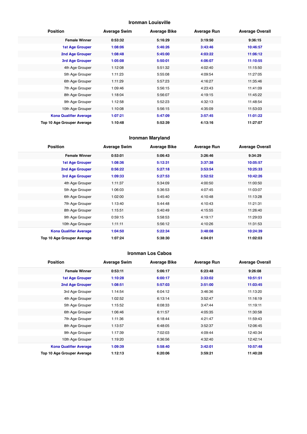#### **Ironman Louisville**

| <b>Position</b>               | <b>Average Swim</b> | <b>Average Bike</b> | <b>Average Run</b> | <b>Average Overall</b> |
|-------------------------------|---------------------|---------------------|--------------------|------------------------|
| <b>Female Winner</b>          | 0:53:32             | 5:16:29             | 3:19:50            | 9:36:15                |
| <b>1st Age Grouper</b>        | 1:08:06             | 5:46:26             | 3:43:46            | 10:46:57               |
| 2nd Age Grouper               | 1:08:48             | 5:45:00             | 4:03:22            | 11:06:12               |
| 3rd Age Grouper               | 1:05:08             | 5:50:01             | 4:06:07            | 11:10:55               |
| 4th Age Grouper               | 1:12:08             | 5:51:32             | 4:02:40            | 11:15:50               |
| 5th Age Grouper               | 1:11:23             | 5:55:08             | 4:09:54            | 11:27:05               |
| 6th Age Grouper               | 1:11:29             | 5:57:23             | 4:16:27            | 11:35:46               |
| 7th Age Grouper               | 1:09:46             | 5:56:15             | 4:23:43            | 11:41:09               |
| 8th Age Grouper               | 1:18:04             | 5:56:07             | 4:19:15            | 11:45:22               |
| 9th Age Grouper               | 1:12:58             | 5:52:23             | 4:32:13            | 11:48:54               |
| 10th Age Grouper              | 1:10:08             | 5:56:15             | 4:35:09            | 11:53:03               |
| <b>Kona Qualifier Average</b> | 1:07:21             | 5:47:09             | 3:57:45            | 11:01:22               |
| Top 10 Age Grouper Average    | 1:10:48             | 5:52:39             | 4:13:16            | 11:27:07               |

#### **Ironman Maryland**

| <b>Position</b>               | <b>Average Swim</b> | <b>Average Bike</b> | <b>Average Run</b> | <b>Average Overall</b> |
|-------------------------------|---------------------|---------------------|--------------------|------------------------|
| <b>Female Winner</b>          | 0:53:01             | 5:06:43             | 3:26:46            | 9:34:29                |
| <b>1st Age Grouper</b>        | 1:08:36             | 5:12:31             | 3:37:38            | 10:05:57               |
| 2nd Age Grouper               | 0:56:22             | 5:27:18             | 3:53:54            | 10:25:33               |
| 3rd Age Grouper               | 1:09:33             | 5:27:53             | 3:52:52            | 10:42:26               |
| 4th Age Grouper               | 1:11:37             | 5:34:09             | 4:00:50            | 11:00:50               |
| 5th Age Grouper               | 1:06:03             | 5:36:53             | 4:07:45            | 11:03:07               |
| 6th Age Grouper               | 1:02:00             | 5:45:40             | 4:10:48            | 11:13:28               |
| 7th Age Grouper               | 1:13:40             | 5:44:48             | 4:10:43            | 11:21:31               |
| 8th Age Grouper               | 1:15:51             | 5:40:49             | 4:15:55            | 11:26:40               |
| 9th Age Grouper               | 0:59:15             | 5:58:53             | 4:19:17            | 11:29:03               |
| 10th Age Grouper              | 1:11:11             | 5:56:12             | 4:10:26            | 11:31:53               |
| <b>Kona Qualifier Average</b> | 1:04:50             | 5:22:34             | 3:48:08            | 10:24:39               |
| Top 10 Age Grouper Average    | 1:07:24             | 5:38:30             | 4:04:01            | 11:02:03               |

#### **Ironman Los Cabos**

| <b>Position</b>               | <b>Average Swim</b> | <b>Average Bike</b> | <b>Average Run</b> | <b>Average Overall</b> |
|-------------------------------|---------------------|---------------------|--------------------|------------------------|
| <b>Female Winner</b>          | 0:53:11             | 5:06:17             | 6:23:48            | 9:26:08                |
| <b>1st Age Grouper</b>        | 1:10:28             | 6:00:17             | 3:33:02            | 10:51:51               |
| 2nd Age Grouper               | 1:08:51             | 5:57:03             | 3:51:00            | 11:03:45               |
| 3rd Age Grouper               | 1:14:54             | 6:04:12             | 3:46:36            | 11:13:20               |
| 4th Age Grouper               | 1:02:52             | 6:13:14             | 3:52:47            | 11:16:19               |
| 5th Age Grouper               | 1:15:52             | 6:08:33             | 3:47:44            | 11:19:11               |
| 6th Age Grouper               | 1:06:46             | 6:11:57             | 4:05:35            | 11:30:58               |
| 7th Age Grouper               | 1:11:36             | 6:18:44             | 4:21:47            | 11:59:43               |
| 8th Age Grouper               | 1:13:57             | 6:48:05             | 3:52:37            | 12:06:45               |
| 9th Age Grouper               | 1:17:39             | 7:02:03             | 4:09:44            | 12:40:34               |
| 10th Age Grouper              | 1:19:20             | 6:36:56             | 4:32:40            | 12:42:14               |
| <b>Kona Qualifier Average</b> | 1:09:39             | 5:58:40             | 3:42:01            | 10:57:48               |
| Top 10 Age Grouper Average    | 1:12:13             | 6:20:06             | 3:59:21            | 11:40:28               |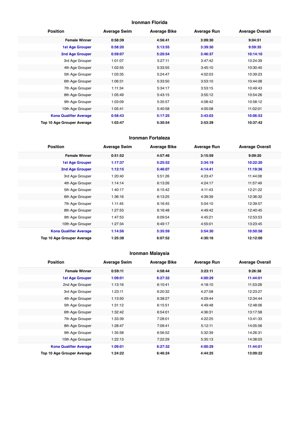#### **Ironman Florida**

| <b>Position</b>               | <b>Average Swim</b> | <b>Average Bike</b> | <b>Average Run</b> | <b>Average Overall</b> |
|-------------------------------|---------------------|---------------------|--------------------|------------------------|
| <b>Female Winner</b>          | 0:58:39             | 4:56:41             | 3:09:30            | 9:04:51                |
| 1st Age Grouper               | 0:58:20             | 5:13:55             | 3:39:30            | 9:59:35                |
| 2nd Age Grouper               | 0:59:07             | 5:20:54             | 3:46:37            | 10:14:10               |
| 3rd Age Grouper               | 1:01:07             | 5:27:11             | 3:47:42            | 10:24:39               |
| 4th Age Grouper               | 1:02:55             | 5:33:55             | 3:45:10            | 10:30:40               |
| 5th Age Grouper               | 1:03:35             | 5:24:47             | 4:02:03            | 10:39:23               |
| 6th Age Grouper               | 1:06:31             | 5:33:50             | 3:53:10            | 10:44:08               |
| 7th Age Grouper               | 1:11:34             | 5:34:17             | 3:53:15            | 10:49:43               |
| 8th Age Grouper               | 1:05:49             | 5:43:15             | 3:55:12            | 10:54:26               |
| 9th Age Grouper               | 1:03:09             | 5:35:57             | 4:08:42            | 10:58:12               |
| 10th Age Grouper              | 1:05:41             | 5:40:58             | 4:05:08            | 11:02:01               |
| <b>Kona Qualifier Average</b> | 0:58:43             | 5:17:25             | 3:43:03            | 10:06:53               |
| Top 10 Age Grouper Average    | 1:03:47             | 5:30:54             | 3:53:39            | 10:37:42               |

#### **Ironman Fortaleza**

| <b>Position</b>               | <b>Average Swim</b> | <b>Average Bike</b> | <b>Average Run</b> | <b>Average Overall</b> |
|-------------------------------|---------------------|---------------------|--------------------|------------------------|
| <b>Female Winner</b>          | 0:51:52             | 4:57:46             | 3:15:59            | 9:09:20                |
| <b>1st Age Grouper</b>        | 1:17:37             | 5:25:52             | 3:34:19            | 10:22:20               |
| 2nd Age Grouper               | 1:12:15             | 5:46:07             | 4:14:41            | 11:19:36               |
| 3rd Age Grouper               | 1:20:40             | 5:51:26             | 4:23:47            | 11:44:08               |
| 4th Age Grouper               | 1:14:14             | 6:13:26             | 4:24:17            | 11:57:49               |
| 5th Age Grouper               | 1:40:17             | 6:15:42             | 4:11:43            | 12:21:22               |
| 6th Age Grouper               | 1:36:16             | 6:13:25             | 4:39:39            | 12:36:32               |
| 7th Age Grouper               | 1:11:45             | 6:16:45             | 5:04:10            | 12:39:57               |
| 8th Age Grouper               | 1:27:53             | 6:16:48             | 4:49:42            | 12:40:45               |
| 9th Age Grouper               | 1:47:53             | 6:09:54             | 4:45:21            | 12:53:53               |
| 10th Age Grouper              | 1:27:34             | 6:49:17             | 4:55:01            | 13:23:45               |
| <b>Kona Qualifier Average</b> | 1:14:56             | 5:35:59             | 3:54:30            | 10:50:58               |
| Top 10 Age Grouper Average    | 1:25:38             | 6:07:52             | 4:30:16            | 12:12:00               |

## **Ironman Malaysia**

| <b>Position</b>               | <b>Average Swim</b> | <b>Average Bike</b> | <b>Average Run</b> | <b>Average Overall</b> |
|-------------------------------|---------------------|---------------------|--------------------|------------------------|
| <b>Female Winner</b>          | 0:59:11             | 4:58:44             | 3:23:11            | 9:26:38                |
| <b>1st Age Grouper</b>        | 1:09:01             | 6:27:32             | 4:00:29            | 11:44:01               |
| 2nd Age Grouper               | 1:13:16             | 6:10:41             | 4:18:10            | 11:53:28               |
| 3rd Age Grouper               | 1:23:11             | 6:20:32             | 4:27:08            | 12:23:27               |
| 4th Age Grouper               | 1:13:50             | 6:38:27             | 4:29:44            | 12:34:44               |
| 5th Age Grouper               | 1:31:12             | 6:15:51             | 4:49:48            | 12:48:06               |
| 6th Age Grouper               | 1:32:42             | 6:54:01             | 4:36:31            | 13:17:58               |
| 7th Age Grouper               | 1:33:39             | 7:28:01             | 4:22:25            | 13:41:33               |
| 8th Age Grouper               | 1:28:47             | 7:09:41             | 5:12:11            | 14:05:56               |
| 9th Age Grouper               | 1:35:58             | 6:56:52             | 5:32:39            | 14:26:31               |
| 10th Age Grouper              | 1:22:13             | 7:22:29             | 5:35:13            | 14:38:03               |
| <b>Kona Qualifier Average</b> | 1:09:01             | 6:27:32             | 4:00:29            | 11:44:01               |
| Top 10 Age Grouper Average    | 1:24:22             | 6:46:24             | 4:44:25            | 13:09:22               |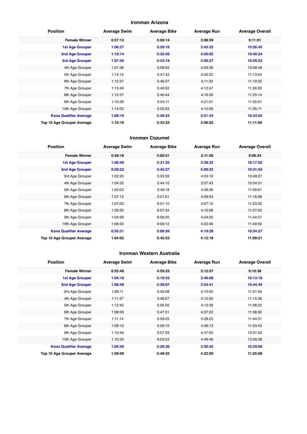#### **Ironman Arizona**

| <b>Position</b>               | <b>Average Swim</b> | <b>Average Bike</b> | <b>Average Run</b> | <b>Average Overall</b> |
|-------------------------------|---------------------|---------------------|--------------------|------------------------|
| <b>Female Winner</b>          | 0:57:13             | 5:00:14             | 3:08:59            | 9:11:01                |
| <b>1st Age Grouper</b>        | 1:06:27             | 5:29:16             | 3:43:33            | 10:26:45               |
| 2nd Age Grouper               | 1:10:14             | 5:32:50             | 3:50:02            | 10:40:24               |
| 3rd Age Grouper               | 1:07:36             | 5:43:18             | 4:00:27            | 10:59:23               |
| 4th Age Grouper               | 1:01:38             | 5:06:03             | 4:03:36            | 10:58:49               |
| 5th Age Grouper               | 1:14:12             | 5:47:42             | 4:02:22            | 11:13:24               |
| 6th Age Grouper               | 1:12:27             | 5:46:27             | 4:11:32            | 11:19:32               |
| 7th Age Grouper               | 1:13:49             | 5:49:52             | 4:12:47            | 11:26:20               |
| 8th Age Grouper               | 1:12:37             | 5:46:44             | 4:16:30            | 11:25:14               |
| 9th Age Grouper               | 1:10:26             | 5:54:11             | 4:21:01            | 11:35:51               |
| 10th Age Grouper              | 1:14:02             | 5:55:53             | 4:15:06            | 11:35:11               |
| <b>Kona Qualifier Average</b> | 1:08:19             | 5:36:23             | 3:51:34            | 10:43:55               |
| Top 10 Age Grouper Average    | 1:10:16             | 5:42:23             | 4:06:02            | 11:11:09               |

#### **Ironman Cozumel**

| <b>Position</b>               | <b>Average Swim</b> | <b>Average Bike</b> | <b>Average Run</b> | <b>Average Overall</b> |
|-------------------------------|---------------------|---------------------|--------------------|------------------------|
| <b>Female Winner</b>          | 0:49:18             | 5:00:51             | 3:11:56            | 9:08:24                |
| <b>1st Age Grouper</b>        | 1:00:40             | 5:31:25             | 3:38:32            | 10:17:02               |
| 2nd Age Grouper               | 0:50:22             | 4:45:27             | 5:00:23            | 10:31:53               |
| 3rd Age Grouper               | 1:02:20             | 5:35:59             | 4:03:16            | 10:49:27               |
| 4th Age Grouper               | 1:04:35             | 5:44:10             | 3:57:43            | 10:54:51               |
| 5th Age Grouper               | 1:05:02             | 5:46:18             | 4:09:36            | 11:09:01               |
| 6th Age Grouper               | 1:07:12             | 5:51:01             | 4:09:04            | 11:16:08               |
| 7th Age Grouper               | 1:07:03             | 6:01:10             | 4:07:15            | 11:23:30               |
| 8th Age Grouper               | 1:09:35             | 6:07:34             | 4:10:08            | 11:37:02               |
| 9th Age Grouper               | 1:04:58             | 6:06:35             | 4:24:20            | 11:44:51               |
| 10th Age Grouper              | 1:08:32             | 6:09:12             | 4:22:46            | 11:49:50               |
| <b>Kona Qualifier Average</b> | 0:55:31             | 5:08:26             | 4:19:28            | 10:24:27               |
| Top 10 Age Grouper Average    | 1:04:02             | 5:45:53             | 4:12:18            | 11:09:21               |

#### **Ironman Western Australia**

| <b>Position</b>               | <b>Average Swim</b> | <b>Average Bike</b> | <b>Average Run</b> | <b>Average Overall</b> |
|-------------------------------|---------------------|---------------------|--------------------|------------------------|
| <b>Female Winner</b>          | 0:55:48             | 4:59:23             | 3:12:57            | 9:10:38                |
| <b>1st Age Grouper</b>        | 1:04:10             | 5:19:53             | 3:46:08            | 10:13:16               |
| 2nd Age Grouper               | 1:06:49             | 5:39:07             | 3:54:41            | 10:44:45               |
| 3rd Age Grouper               | 1:06:11             | 5:40:08             | 4:10:55            | 11:01:59               |
| 4th Age Grouper               | 1:11:37             | 5:46:07             | 4:12:50            | 11:15:38               |
| 5th Age Grouper               | 1:12:45             | 5:56:50             | 4:13:38            | 11:28:22               |
| 6th Age Grouper               | 1:08:09             | 5:47:31             | 4:37:20            | 11:38:30               |
| 7th Age Grouper               | 1:11:14             | 5:59:25             | 4:28:23            | 11:44:31               |
| 8th Age Grouper               | 1:09:13             | 5:59:15             | 4:39:13            | 11:53:43               |
| 9th Age Grouper               | 1:10:49             | 5:57:29             | 4:47:05            | 12:01:03               |
| 10th Age Grouper              | 1:10:33             | 6:03:23             | 4:49:48            | 12:09:38               |
| <b>Kona Qualifier Average</b> | 1:05:29             | 5:29:30             | 3:50:25            | 10:29:00               |
| Top 10 Age Grouper Average    | 1:09:09             | 5:48:55             | 4:22:00            | 11:25:08               |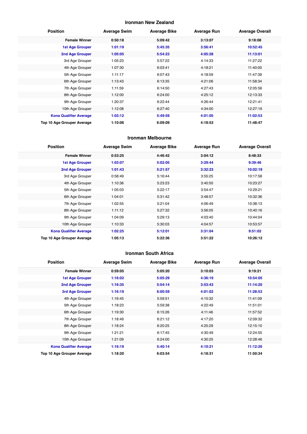#### **Ironman New Zealand**

| <b>Position</b>               | <b>Average Swim</b> | <b>Average Bike</b> | <b>Average Run</b> | <b>Average Overall</b> |
|-------------------------------|---------------------|---------------------|--------------------|------------------------|
| <b>Female Winner</b>          | 0:50:18             | 5:09:42             | 3:13:07            | 9:18:08                |
| <b>1st Age Grouper</b>        | 1:01:19             | 5:45:35             | 3:56:41            | 10:52:45               |
| 2nd Age Grouper               | 1:05:05             | 5:54:23             | 4:05:28            | 11:13:01               |
| 3rd Age Grouper               | 1:05:23             | 5:57:22             | 4:14:33            | 11:27:22               |
| 4th Age Grouper               | 1:07:30             | 6:03:41             | 4:18:21            | 11:40:00               |
| 5th Age Grouper               | 1:11:17             | 6:07:43             | 4:18:59            | 11:47:39               |
| 6th Age Grouper               | 1:13:43             | 6:13:35             | 4:21:06            | 11:58:34               |
| 7th Age Grouper               | 1:11:59             | 6:14:50             | 4:27:43            | 12:05:56               |
| 8th Age Grouper               | 1:12:00             | 6:24:00             | 4:25:12            | 12:13:33               |
| 9th Age Grouper               | 1:20:37             | 6:22:44             | 4:26:44            | 12:21:41               |
| 10th Age Grouper              | 1:12:08             | 6:27:40             | 4:34:00            | 12:27:19               |
| <b>Kona Qualifier Average</b> | 1:03:12             | 5:49:59             | 4:01:05            | 11:02:53               |
| Top 10 Age Grouper Average    | 1:10:06             | 6:09:09             | 4:18:53            | 11:48:47               |

#### **Ironman Melbourne**

| <b>Position</b>               | <b>Average Swim</b> | <b>Average Bike</b> | <b>Average Run</b> | <b>Average Overall</b> |
|-------------------------------|---------------------|---------------------|--------------------|------------------------|
| <b>Female Winner</b>          | 0:53:25             | 4:46:42             | 3:04:12            | 8:48:33                |
| 1st Age Grouper               | 1:03:07             | 5:02:05             | 3:29:44            | 9:39:46                |
| 2nd Age Grouper               | 1:01:43             | 5:21:57             | 3:32:23            | 10:02:19               |
| 3rd Age Grouper               | 0:58:49             | 5:16:44             | 3:55:25            | 10:17:58               |
| 4th Age Grouper               | 1:10:36             | 5:23:23             | 3:40:50            | 10:23:27               |
| 5th Age Grouper               | 1:05:03             | 5:22:17             | 3:54:47            | 10:29:21               |
| 6th Age Grouper               | 1:04:01             | 5:31:42             | 3:48:57            | 10:32:36               |
| 7th Age Grouper               | 1:02:55             | 5:21:04             | 4:06:49            | 10:38:13               |
| 8th Age Grouper               | 1:11:12             | 5:27:32             | 3:56:05            | 10:40:16               |
| 9th Age Grouper               | 1:04:09             | 5:29:13             | 4:03:40            | 10:44:04               |
| 10th Age Grouper              | 1:10:33             | 5:30:03             | 4:04:57            | 10:53:57               |
| <b>Kona Qualifier Average</b> | 1:02:25             | 5:12:01             | 3:31:04            | 9:51:02                |
| Top 10 Age Grouper Average    | 1:05:13             | 5:22:36             | 3:51:22            | 10:26:12               |

#### **Ironman South Africa**

| <b>Position</b>               | <b>Average Swim</b> | <b>Average Bike</b> | <b>Average Run</b> | <b>Average Overall</b> |
|-------------------------------|---------------------|---------------------|--------------------|------------------------|
| <b>Female Winner</b>          | 0:59:05             | 5:05:20             | 3:10:03            | 9:19:21                |
| <b>1st Age Grouper</b>        | 1:16:02             | 5:05:29             | 4:36:19            | 10:54:05               |
| 2nd Age Grouper               | 1:16:35             | 5:54:14             | 3:53:43            | 11:14:20               |
| 3rd Age Grouper               | 1:16:19             | 6:00:59             | 4:01:02            | 11:28:53               |
| 4th Age Grouper               | 1:16:45             | 5:59:51             | 4:15:32            | 11:41:09               |
| 5th Age Grouper               | 1:18:23             | 5:59:38             | 4:22:49            | 11:51:01               |
| 6th Age Grouper               | 1:19:30             | 6:15:26             | 4:11:46            | 11:57:52               |
| 7th Age Grouper               | 1:18:49             | 6:21:12             | 4:17:20            | 12:09:32               |
| 8th Age Grouper               | 1:18:24             | 6:20:25             | 4:25:29            | 12:15:10               |
| 9th Age Grouper               | 1:21:21             | 6:17:45             | 4:30:49            | 12:24:55               |
| 10th Age Grouper              | 1:21:09             | 6:24:00             | 4:30:25            | 12:28:46               |
| <b>Kona Qualifier Average</b> | 1:16:19             | 5:40:14             | 4:10:21            | 11:12:26               |
| Top 10 Age Grouper Average    | 1:18:20             | 6:03:54             | 4:18:31            | 11:50:34               |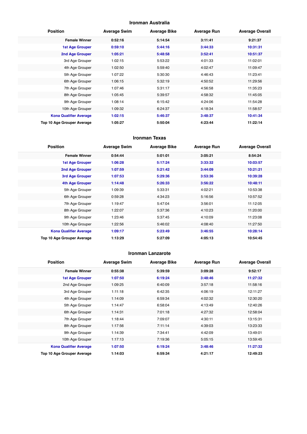#### **Ironman Australia**

| <b>Position</b>               | <b>Average Swim</b> | <b>Average Bike</b> | <b>Average Run</b> | <b>Average Overall</b> |
|-------------------------------|---------------------|---------------------|--------------------|------------------------|
| <b>Female Winner</b>          | 0:52:16             | 5:14:54             | 3:11:41            | 9:21:37                |
| <b>1st Age Grouper</b>        | 0:59:10             | 5:44:16             | 3:44:33            | 10:31:31               |
| 2nd Age Grouper               | 1:05:21             | 5:48:58             | 3:52:41            | 10:51:37               |
| 3rd Age Grouper               | 1:02:15             | 5:53:22             | 4:01:33            | 11:02:01               |
| 4th Age Grouper               | 1:02:50             | 5:59:40             | 4:02:47            | 11:09:47               |
| 5th Age Grouper               | 1:07:22             | 5:30:30             | 4:46:43            | 11:23:41               |
| 6th Age Grouper               | 1:06:15             | 5:32:19             | 4:50:52            | 11:29:56               |
| 7th Age Grouper               | 1:07:46             | 5:31:17             | 4:56:58            | 11:35:23               |
| 8th Age Grouper               | 1:05:45             | 5:39:57             | 4:58:32            | 11:45:05               |
| 9th Age Grouper               | 1:08:14             | 6:15:42             | 4:24:06            | 11:54:28               |
| 10th Age Grouper              | 1:09:32             | 6:24:37             | 4:18:34            | 11:58:57               |
| <b>Kona Qualifier Average</b> | 1:02:15             | 5:46:37             | 3:48:37            | 10:41:34               |
| Top 10 Age Grouper Average    | 1:05:27             | 5:50:04             | 4:23:44            | 11:22:14               |

#### **Ironman Texas**

| <b>Position</b>               | <b>Average Swim</b> | <b>Average Bike</b> | <b>Average Run</b> | <b>Average Overall</b> |
|-------------------------------|---------------------|---------------------|--------------------|------------------------|
| <b>Female Winner</b>          | 0:54:44             | 5:01:01             | 3:05:21            | 8:54:24                |
| <b>1st Age Grouper</b>        | 1:06:28             | 5:17:24             | 3:33:32            | 10:03:57               |
| 2nd Age Grouper               | 1:07:59             | 5:21:42             | 3:44:09            | 10:21:21               |
| 3rd Age Grouper               | 1:07:53             | 5:29:36             | 3:53:36            | 10:39:28               |
| 4th Age Grouper               | 1:14:48             | 5:26:33             | 3:56:22            | 10:48:11               |
| 5th Age Grouper               | 1:09:39             | 5:33:31             | 4:02:21            | 10:53:38               |
| 6th Age Grouper               | 0:59:28             | 4:34:23             | 5:16:56            | 10:57:52               |
| 7th Age Grouper               | 1:19:47             | 5:47:04             | 3:56:01            | 11:12:05               |
| 8th Age Grouper               | 1:22:07             | 5:37:36             | 4:10:23            | 11:20:00               |
| 9th Age Grouper               | 1:23:46             | 5:37:45             | 4:10:09            | 11:23:08               |
| 10th Age Grouper              | 1:22:56             | 5:46:02             | 4:08:40            | 11:27:50               |
| <b>Kona Qualifier Average</b> | 1:09:17             | 5:23:49             | 3:46:55            | 10:28:14               |
| Top 10 Age Grouper Average    | 1:13:29             | 5:27:09             | 4:05:13            | 10:54:45               |

#### **Ironman Lanzarote**

| <b>Position</b>               | <b>Average Swim</b> | <b>Average Bike</b> | <b>Average Run</b> | <b>Average Overall</b> |
|-------------------------------|---------------------|---------------------|--------------------|------------------------|
| <b>Female Winner</b>          | 0:55:38             | 5:39:59             | 3:09:28            | 9:52:17                |
| <b>1st Age Grouper</b>        | 1:07:50             | 6:19:24             | 3:48:46            | 11:27:32               |
| 2nd Age Grouper               | 1:09:25             | 6:40:09             | 3:57:18            | 11:58:16               |
| 3rd Age Grouper               | 1:11:18             | 6:42:35             | 4:06:19            | 12:11:27               |
| 4th Age Grouper               | 1:14:09             | 6:59:34             | 4:02:32            | 12:30:20               |
| 5th Age Grouper               | 1:14:47             | 6:58:04             | 4:13:49            | 12:40:26               |
| 6th Age Grouper               | 1:14:31             | 7:01:18             | 4:27:32            | 12:58:04               |
| 7th Age Grouper               | 1:18:44             | 7:09:07             | 4:30:11            | 13:15:31               |
| 8th Age Grouper               | 1:17:56             | 7:11:14             | 4:39:03            | 13:23:33               |
| 9th Age Grouper               | 1:14:39             | 7:34:41             | 4:42:09            | 13:49:01               |
| 10th Age Grouper              | 1:17:13             | 7:19:36             | 5:05:15            | 13:59:45               |
| <b>Kona Qualifier Average</b> | 1:07:50             | 6:19:24             | 3:48:46            | 11:27:32               |
| Top 10 Age Grouper Average    | 1:14:03             | 6:59:34             | 4:21:17            | 12:49:23               |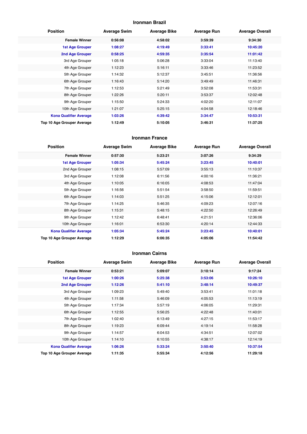#### **Ironman Brazil**

| <b>Position</b>               | <b>Average Swim</b> | <b>Average Bike</b> | <b>Average Run</b> | <b>Average Overall</b> |
|-------------------------------|---------------------|---------------------|--------------------|------------------------|
| <b>Female Winner</b>          | 0:56:08             | 4:58:02             | 3:59:39            | 9:34:30                |
| <b>1st Age Grouper</b>        | 1:08:27             | 4:19:49             | 3:33:41            | 10:45:20               |
| 2nd Age Grouper               | 0:58:25             | 4:59:35             | 3:35:54            | 11:01:42               |
| 3rd Age Grouper               | 1:05:18             | 5:06:28             | 3:33:04            | 11:13:40               |
| 4th Age Grouper               | 1:12:23             | 5:16:11             | 3:33:46            | 11:23:52               |
| 5th Age Grouper               | 1:14:32             | 5:12:37             | 3:45:51            | 11:36:56               |
| 6th Age Grouper               | 1:16:43             | 5:14:20             | 3:49:49            | 11:46:31               |
| 7th Age Grouper               | 1:12:53             | 5:21:49             | 3:52:08            | 11:53:31               |
| 8th Age Grouper               | 1:22:26             | 5:20:11             | 3:53:37            | 12:02:48               |
| 9th Age Grouper               | 1:15:50             | 5:24:33             | 4:02:20            | 12:11:07               |
| 10th Age Grouper              | 1:21:07             | 5:25:15             | 4:04:58            | 12:18:46               |
| <b>Kona Qualifier Average</b> | 1:03:26             | 4:39:42             | 3:34:47            | 10:53:31               |
| Top 10 Age Grouper Average    | 1:12:49             | 5:10:05             | 3:46:31            | 11:37:25               |

#### **Ironman France**

| <b>Position</b>               | <b>Average Swim</b> | <b>Average Bike</b> | <b>Average Run</b> | <b>Average Overall</b> |
|-------------------------------|---------------------|---------------------|--------------------|------------------------|
| <b>Female Winner</b>          | 0:57:30             | 5:23:21             | 3:07:26            | 9:34:29                |
| <b>1st Age Grouper</b>        | 1:05:34             | 5:45:24             | 3:23:45            | 10:40:01               |
| 2nd Age Grouper               | 1:08:15             | 5:57:09             | 3:55:13            | 11:10:37               |
| 3rd Age Grouper               | 1:12:08             | 6:11:56             | 4:00:16            | 11:36:21               |
| 4th Age Grouper               | 1:10:05             | 6:16:05             | 4:08:53            | 11:47:04               |
| 5th Age Grouper               | 1:16:56             | 5:51:54             | 3:58:50            | 11:59:51               |
| 6th Age Grouper               | 1:14:03             | 5:51:25             | 4:15:06            | 12:12:01               |
| 7th Age Grouper               | 1:14:25             | 5:46:35             | 4:09:23            | 12:07:16               |
| 8th Age Grouper               | 1:15:31             | 5:48:15             | 4:22:50            | 12:26:49               |
| 9th Age Grouper               | 1:12:42             | 6:48:41             | 4:21:51            | 12:36:06               |
| 10th Age Grouper              | 1:16:01             | 6:53:30             | 4:20:14            | 12:44:33               |
| <b>Kona Qualifier Average</b> | 1:05:34             | 5:45:24             | 3:23:45            | 10:40:01               |
| Top 10 Age Grouper Average    | 1:12:29             | 6:06:35             | 4:05:06            | 11:54:42               |

#### **Ironman Cairns**

| <b>Position</b>               | <b>Average Swim</b> | <b>Average Bike</b> | <b>Average Run</b> | <b>Average Overall</b> |
|-------------------------------|---------------------|---------------------|--------------------|------------------------|
| <b>Female Winner</b>          | 0:53:21             | 5:09:07             | 3:10:14            | 9:17:24                |
| <b>1st Age Grouper</b>        | 1:00:26             | 5:25:38             | 3:53:06            | 10:26:10               |
| 2nd Age Grouper               | 1:12:26             | 5:41:10             | 3:48:14            | 10:49:37               |
| 3rd Age Grouper               | 1:09:23             | 5:49:40             | 3:53:41            | 11:01:18               |
| 4th Age Grouper               | 1:11:58             | 5:46:09             | 4:05:53            | 11:13:19               |
| 5th Age Grouper               | 1:17:34             | 5:57:19             | 4:06:05            | 11:29:31               |
| 6th Age Grouper               | 1:12:55             | 5:56:25             | 4:22:48            | 11:40:01               |
| 7th Age Grouper               | 1:02:40             | 6:13:49             | 4:27:15            | 11:53:17               |
| 8th Age Grouper               | 1:19:23             | 6:09:44             | 4:19:14            | 11:58:28               |
| 9th Age Grouper               | 1:14:57             | 6:04:53             | 4:34:51            | 12:07:02               |
| 10th Age Grouper              | 1:14:10             | 6:10:55             | 4:38:17            | 12:14:19               |
| <b>Kona Qualifier Average</b> | 1:06:26             | 5:33:24             | 3:50:40            | 10:37:54               |
| Top 10 Age Grouper Average    | 1:11:35             | 5:55:34             | 4:12:56            | 11:29:18               |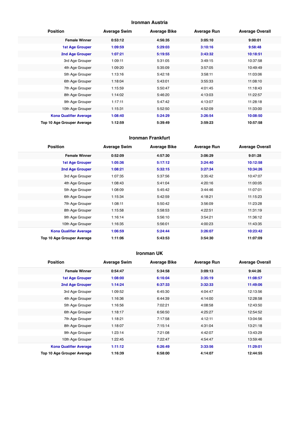#### **Ironman Austria**

| <b>Position</b>               | <b>Average Swim</b> | <b>Average Bike</b> | <b>Average Run</b> | <b>Average Overall</b> |
|-------------------------------|---------------------|---------------------|--------------------|------------------------|
| <b>Female Winner</b>          | 0:53:12             | 4:56:35             | 3:05:10            | 9:00:01                |
| <b>1st Age Grouper</b>        | 1:09:59             | 5:29:03             | 3:10:16            | 9:58:48                |
| 2nd Age Grouper               | 1:07:21             | 5:19:55             | 3:43:32            | 10:18:51               |
| 3rd Age Grouper               | 1:09:11             | 5:31:05             | 3:49:15            | 10:37:58               |
| 4th Age Grouper               | 1:09:20             | 5:35:09             | 3:57:05            | 10:49:49               |
| 5th Age Grouper               | 1:13:16             | 5:42:18             | 3:58:11            | 11:03:06               |
| 6th Age Grouper               | 1:18:04             | 5:43:01             | 3:55:33            | 11:08:10               |
| 7th Age Grouper               | 1:15:59             | 5:50:47             | 4:01:45            | 11:18:43               |
| 8th Age Grouper               | 1:14:02             | 5:46:20             | 4:13:03            | 11:22:57               |
| 9th Age Grouper               | 1:17:11             | 5:47:42             | 4:13:07            | 11:28:18               |
| 10th Age Grouper              | 1:15:31             | 5:52:50             | 4:52:09            | 11:33:00               |
| <b>Kona Qualifier Average</b> | 1:08:40             | 5:24:29             | 3:26:54            | 10:08:50               |
| Top 10 Age Grouper Average    | 1:12:59             | 5:39:49             | 3:59:23            | 10:57:58               |

#### **Ironman Frankfurt**

| <b>Position</b>               | <b>Average Swim</b> | <b>Average Bike</b> | <b>Average Run</b> | <b>Average Overall</b> |
|-------------------------------|---------------------|---------------------|--------------------|------------------------|
| <b>Female Winner</b>          | 0:52:09             | 4:57:30             | 3:06:29            | 9:01:28                |
| 1st Age Grouper               | 1:05:36             | 5:17:12             | 3:24:40            | 10:12:58               |
| 2nd Age Grouper               | 1:08:21             | 5:32:15             | 3:27:34            | 10:34:26               |
| 3rd Age Grouper               | 1:07:35             | 5:37:56             | 3:35:42            | 10:47:07               |
| 4th Age Grouper               | 1:08:43             | 5:41:04             | 4:20:16            | 11:00:05               |
| 5th Age Grouper               | 1:08:09             | 5:45:42             | 3:44:46            | 11:07:01               |
| 6th Age Grouper               | 1:15:34             | 5:42:59             | 4:18:21            | 11:15:23               |
| 7th Age Grouper               | 1:08:11             | 5:50:42             | 3:56:09            | 11:23:28               |
| 8th Age Grouper               | 1:15:58             | 5:58:53             | 4:22:51            | 11:31:19               |
| 9th Age Grouper               | 1:16:14             | 5:56:10             | 3:54:21            | 11:36:12               |
| 10th Age Grouper              | 1:16:35             | 5:56:01             | 4:00:23            | 11:43:35               |
| <b>Kona Qualifier Average</b> | 1:06:59             | 5:24:44             | 3:26:07            | 10:23:42               |
| Top 10 Age Grouper Average    | 1:11:06             | 5:43:53             | 3:54:30            | 11:07:09               |

#### **Ironman UK**

| <b>Position</b>               | <b>Average Swim</b> | <b>Average Bike</b> | <b>Average Run</b> | <b>Average Overall</b> |
|-------------------------------|---------------------|---------------------|--------------------|------------------------|
| <b>Female Winner</b>          | 0:54:47             | 5:34:58             | 3:09:13            | 9:44:26                |
| <b>1st Age Grouper</b>        | 1:08:00             | 6:16:04             | 3:35:19            | 11:08:57               |
| 2nd Age Grouper               | 1:14:24             | 6:37:33             | 3:32:33            | 11:49:06               |
| 3rd Age Grouper               | 1:09:52             | 6:45:30             | 4:04:47            | 12:13:56               |
| 4th Age Grouper               | 1:16:36             | 6:44:39             | 4:14:00            | 12:28:58               |
| 5th Age Grouper               | 1:16:56             | 7:02:21             | 4:08:58            | 12:43:50               |
| 6th Age Grouper               | 1:18:17             | 6:56:50             | 4:25:27            | 12:54:52               |
| 7th Age Grouper               | 1:18:21             | 7:17:58             | 4:12:11            | 13:04:56               |
| 8th Age Grouper               | 1:18:07             | 7:15:14             | 4:31:04            | 13:21:18               |
| 9th Age Grouper               | 1:23:14             | 7:21:08             | 4:42:07            | 13:43:29               |
| 10th Age Grouper              | 1:22:45             | 7:22:47             | 4:54:47            | 13:59:46               |
| <b>Kona Qualifier Average</b> | 1:11:12             | 6:26:49             | 3:33:56            | 11:29:01               |
| Top 10 Age Grouper Average    | 1:16:39             | 6:58:00             | 4:14:07            | 12:44:55               |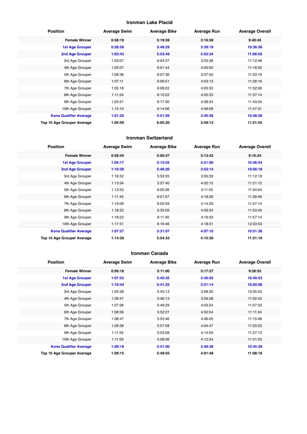#### **Ironman Lake Placid**

| <b>Position</b>               | <b>Average Swim</b> | <b>Average Bike</b> | <b>Average Run</b> | <b>Average Overall</b> |
|-------------------------------|---------------------|---------------------|--------------------|------------------------|
| <b>Female Winner</b>          | 0:58:19             | 5:19:59             | 3:16:59            | 9:40:45                |
| <b>1st Age Grouper</b>        | 0:58:58             | 5:48:29             | 3:39:19            | 10:36:56               |
| 2nd Age Grouper               | 1:03:43             | 5:53:49             | 3:52:34            | 11:00:56               |
| 3rd Age Grouper               | 1:03:07             | 6:04:37             | 3:53:38            | 11:12:48               |
| 4th Age Grouper               | 1:05:07             | 6:01:44             | 4:00:00            | 11:18:35               |
| 5th Age Grouper               | 1:06:36             | 6:07:36             | 3:57:50            | 11:23:19               |
| 6th Age Grouper               | 1:07:11             | 6:06:51             | 4:03:13            | 11:26:16               |
| 7th Age Grouper               | 1:05:18             | 6:08:22             | 4:05:35            | 11:32:06               |
| 8th Age Grouper               | 1:11:24             | 6:10:22             | 4:05:33            | 11:37:14               |
| 9th Age Grouper               | 1:03:21             | 6:17:30             | 4:08:24            | 11:43:34               |
| 10th Age Grouper              | 1:15:10             | 6:14:06             | 4:06:08            | 11:47:31               |
| <b>Kona Qualifier Average</b> | 1:01:20             | 5:51:09             | 3:45:56            | 10:48:56               |
| Top 10 Age Grouper Average    | 1:05:59             | 6:05:20             | 3:59:13            | 11:21:55               |

#### **Ironman Switzerland**

| <b>Position</b>               | <b>Average Swim</b> | <b>Average Bike</b> | <b>Average Run</b> | <b>Average Overall</b> |
|-------------------------------|---------------------|---------------------|--------------------|------------------------|
| <b>Female Winner</b>          | 0:58:45             | 5:00:37             | 3:13:43            | 9:16:24                |
| 1st Age Grouper               | 1:04:17             | 5:15:55             | 4:21:06            | 10:46:54               |
| 2nd Age Grouper               | 1:10:38             | 5:46:20             | 3:53:14            | 10:56:18               |
| 3rd Age Grouper               | 1:16:52             | 5:53:35             | 3:55:39            | 11:12:19               |
| 4th Age Grouper               | 1:13:54             | 5:57:40             | 4:02:15            | 11:21:12               |
| 5th Age Grouper               | 1:13:53             | 6:00:36             | 4:11:55            | 11:34:04               |
| 6th Age Grouper               | 1:11:45             | 6:01:57             | 4:18:26            | 11:39:46               |
| 7th Age Grouper               | 1:19:09             | 6:05:59             | 4:14:29            | 11:47:14               |
| 8th Age Grouper               | 1:18:22             | 5:35:09             | 4:59:54            | 11:53:45               |
| 9th Age Grouper               | 1:18:22             | 6:11:30             | 4:19:33            | 11:57:14               |
| 10th Age Grouper              | 1:17:51             | 6:16:46             | 4:18:31            | 12:03:53               |
| <b>Kona Qualifier Average</b> | 1:07:27             | 5:31:07             | 4:07:10            | 10:51:36               |
| Top 10 Age Grouper Average    | 1:14:30             | 5:54:33             | 4:15:30            | 11:31:16               |

#### **Ironman Canada**

| <b>Position</b>               | <b>Average Swim</b> | <b>Average Bike</b> | <b>Average Run</b> | <b>Average Overall</b> |
|-------------------------------|---------------------|---------------------|--------------------|------------------------|
| <b>Female Winner</b>          | 0:56:18             | 5:11:00             | 3:17:27            | 9:28:52                |
| 1st Age Grouper               | 1:07:52             | 5:40:35             | 3:46:02            | 10:40:53               |
| 2nd Age Grouper               | 1:10:44             | 5:41:25             | 3:51:14            | 10:50:06               |
| 3rd Age Grouper               | 1:05:28             | 5:45:13             | 3:58:30            | 10:55:53               |
| 4th Age Grouper               | 1:09:47             | 5:46:13             | 3:59:28            | 11:02:43               |
| 5th Age Grouper               | 1:07:26             | 5:49:29             | 4:03:24            | 11:07:33               |
| 6th Age Grouper               | 1:08:56             | 5:52:27             | 4:02:04            | 11:11:24               |
| 7th Age Grouper               | 1:08:47             | 5:53:46             | 4:06:00            | 11:15:48               |
| 8th Age Grouper               | 1:09:38             | 5:57:58             | 4:04:47            | 11:20:22               |
| 9th Age Grouper               | 1:11:55             | 5:53:08             | 4:14:05            | 11:27:13               |
| 10th Age Grouper              | 1:11:59             | 5:58:56             | 4:12:24            | 11:31:03               |
| <b>Kona Qualifier Average</b> | 1:09:18             | 5:41:00             | 3:48:38            | 10:45:29               |
| Top 10 Age Grouper Average    | 1:09:15             | 5:49:55             | 4:01:48            | 11:08:18               |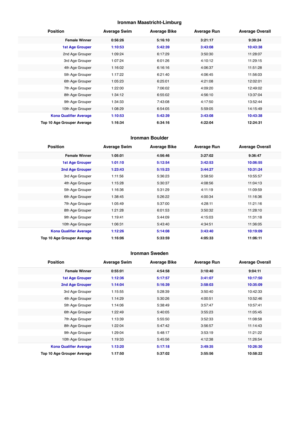#### **Ironman Maastricht-Limburg**

| <b>Position</b>               | <b>Average Swim</b> | <b>Average Bike</b> | <b>Average Run</b> | <b>Average Overall</b> |
|-------------------------------|---------------------|---------------------|--------------------|------------------------|
| <b>Female Winner</b>          | 0:56:26             | 5:16:10             | 3:21:17            | 9:39:24                |
| <b>1st Age Grouper</b>        | 1:10:53             | 5:42:39             | 3:43:08            | 10:43:38               |
| 2nd Age Grouper               | 1:09:24             | 6:17:29             | 3:50:30            | 11:28:07               |
| 3rd Age Grouper               | 1:07:24             | 6:01:26             | 4:10:12            | 11:29:15               |
| 4th Age Grouper               | 1:16:02             | 6:16:16             | 4:06:37            | 11:51:28               |
| 5th Age Grouper               | 1:17:22             | 6:21:40             | 4:06:45            | 11:56:03               |
| 6th Age Grouper               | 1:05:23             | 6:25:01             | 4:21:08            | 12:02:01               |
| 7th Age Grouper               | 1:22:00             | 7:06:02             | 4:09:20            | 12:49:02               |
| 8th Age Grouper               | 1:34:12             | 6:55:02             | 4:56:10            | 13:37:04               |
| 9th Age Grouper               | 1:34:33             | 7:43:08             | 4:17:50            | 13:52:44               |
| 10th Age Grouper              | 1:08:29             | 6:54:05             | 5:59:05            | 14:15:49               |
| <b>Kona Qualifier Average</b> | 1:10:53             | 5:42:39             | 3:43:08            | 10:43:38               |
| Top 10 Age Grouper Average    | 1:16:34             | 6:34:16             | 4:22:04            | 12:24:31               |

#### **Ironman Boulder**

| <b>Position</b>               | <b>Average Swim</b> | <b>Average Bike</b> | <b>Average Run</b> | <b>Average Overall</b> |
|-------------------------------|---------------------|---------------------|--------------------|------------------------|
| <b>Female Winner</b>          | 1:05:01             | 4:56:46             | 3:27:02            | 9:36:47                |
| <b>1st Age Grouper</b>        | 1:01:10             | 5:12:54             | 3:42:53            | 10:06:55               |
| 2nd Age Grouper               | 1:23:43             | 5:15:23             | 3:44:27            | 10:31:24               |
| 3rd Age Grouper               | 1:11:56             | 5:36:23             | 3:58:50            | 10:55:57               |
| 4th Age Grouper               | 1:15:28             | 5:30:37             | 4:08:56            | 11:04:13               |
| 5th Age Grouper               | 1:16:36             | 5:31:29             | 4:11:19            | 11:09:59               |
| 6th Age Grouper               | 1:38:45             | 5:26:22             | 4:00:34            | 11:16:36               |
| 7th Age Grouper               | 1:05:49             | 5:37:00             | 4:28:11            | 11:21:16               |
| 8th Age Grouper               | 1:21:28             | 6:01:53             | 3:50:32            | 11:28:10               |
| 9th Age Grouper               | 1:19:41             | 5:44:09             | 4:15:03            | 11:31:18               |
| 10th Age Grouper              | 1:06:31             | 5:43:40             | 4:34:51            | 11:36:05               |
| <b>Kona Qualifier Average</b> | 1:12:26             | 5:14:08             | 3:43:40            | 10:19:09               |
| Top 10 Age Grouper Average    | 1:16:06             | 5:33:59             | 4:05:33            | 11:06:11               |

#### **Ironman Sweden**

| <b>Position</b>               | <b>Average Swim</b> | <b>Average Bike</b> | <b>Average Run</b> | <b>Average Overall</b> |
|-------------------------------|---------------------|---------------------|--------------------|------------------------|
| <b>Female Winner</b>          | 0:55:01             | 4:54:58             | 3:10:40            | 9:04:11                |
| 1st Age Grouper               | 1:12:36             | 5:17:57             | 3:41:07            | 10:17:50               |
| 2nd Age Grouper               | 1:14:04             | 5:16:39             | 3:58:03            | 10:35:09               |
| 3rd Age Grouper               | 1:15:55             | 5:28:39             | 3:50:40            | 10:42:33               |
| 4th Age Grouper               | 1:14:29             | 5:30:26             | 4:00:51            | 10:52:46               |
| 5th Age Grouper               | 1:14:06             | 5:38:49             | 3:57:47            | 10:57:41               |
| 6th Age Grouper               | 1:22:49             | 5:40:05             | 3:55:23            | 11:05:45               |
| 7th Age Grouper               | 1:13:39             | 5:55:50             | 3:52:33            | 11:08:58               |
| 8th Age Grouper               | 1:22:04             | 5:47:42             | 3:56:57            | 11:14:43               |
| 9th Age Grouper               | 1:29:04             | 5:48:17             | 3:53:19            | 11:21:22               |
| 10th Age Grouper              | 1:19:33             | 5:45:56             | 4:12:38            | 11:26:54               |
| <b>Kona Qualifier Average</b> | 1:13:20             | 5:17:18             | 3:49:35            | 10:26:30               |
| Top 10 Age Grouper Average    | 1:17:50             | 5:37:02             | 3:55:56            | 10:58:22               |